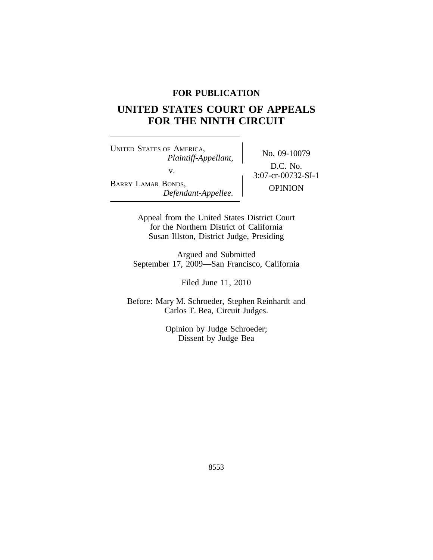## **FOR PUBLICATION**

# **UNITED STATES COURT OF APPEALS FOR THE NINTH CIRCUIT**

<sup>U</sup>NITED STATES OF AMERICA, No. 09-10079 *Plaintiff-Appellant,* v.  $2.07 - cr -00732-SI-1$ BARRY LAMAR BONDS, OPINION *Defendant-Appellee.*

D.C. No.

Appeal from the United States District Court for the Northern District of California Susan Illston, District Judge, Presiding

Argued and Submitted September 17, 2009—San Francisco, California

Filed June 11, 2010

Before: Mary M. Schroeder, Stephen Reinhardt and Carlos T. Bea, Circuit Judges.

> Opinion by Judge Schroeder; Dissent by Judge Bea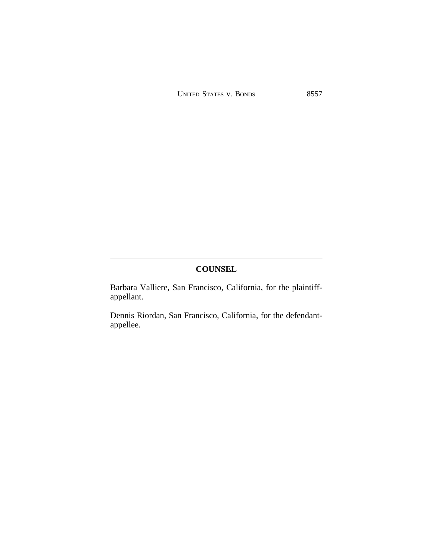## **COUNSEL**

Barbara Valliere, San Francisco, California, for the plaintiffappellant.

Dennis Riordan, San Francisco, California, for the defendantappellee.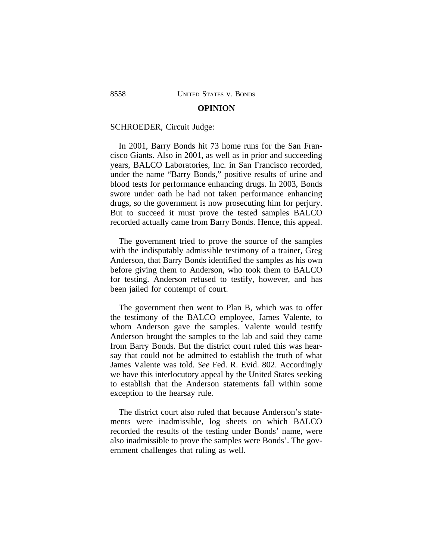#### **OPINION**

#### SCHROEDER, Circuit Judge:

In 2001, Barry Bonds hit 73 home runs for the San Francisco Giants. Also in 2001, as well as in prior and succeeding years, BALCO Laboratories, Inc. in San Francisco recorded, under the name "Barry Bonds," positive results of urine and blood tests for performance enhancing drugs. In 2003, Bonds swore under oath he had not taken performance enhancing drugs, so the government is now prosecuting him for perjury. But to succeed it must prove the tested samples BALCO recorded actually came from Barry Bonds. Hence, this appeal.

The government tried to prove the source of the samples with the indisputably admissible testimony of a trainer, Greg Anderson, that Barry Bonds identified the samples as his own before giving them to Anderson, who took them to BALCO for testing. Anderson refused to testify, however, and has been jailed for contempt of court.

The government then went to Plan B, which was to offer the testimony of the BALCO employee, James Valente, to whom Anderson gave the samples. Valente would testify Anderson brought the samples to the lab and said they came from Barry Bonds. But the district court ruled this was hearsay that could not be admitted to establish the truth of what James Valente was told. *See* Fed. R. Evid. 802. Accordingly we have this interlocutory appeal by the United States seeking to establish that the Anderson statements fall within some exception to the hearsay rule.

The district court also ruled that because Anderson's statements were inadmissible, log sheets on which BALCO recorded the results of the testing under Bonds' name, were also inadmissible to prove the samples were Bonds'. The government challenges that ruling as well.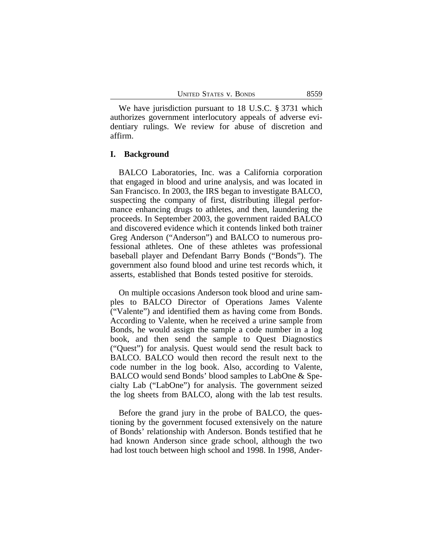We have jurisdiction pursuant to 18 U.S.C. § 3731 which authorizes government interlocutory appeals of adverse evidentiary rulings. We review for abuse of discretion and affirm.

#### **I. Background**

BALCO Laboratories, Inc. was a California corporation that engaged in blood and urine analysis, and was located in San Francisco. In 2003, the IRS began to investigate BALCO, suspecting the company of first, distributing illegal performance enhancing drugs to athletes, and then, laundering the proceeds. In September 2003, the government raided BALCO and discovered evidence which it contends linked both trainer Greg Anderson ("Anderson") and BALCO to numerous professional athletes. One of these athletes was professional baseball player and Defendant Barry Bonds ("Bonds"). The government also found blood and urine test records which, it asserts, established that Bonds tested positive for steroids.

On multiple occasions Anderson took blood and urine samples to BALCO Director of Operations James Valente ("Valente") and identified them as having come from Bonds. According to Valente, when he received a urine sample from Bonds, he would assign the sample a code number in a log book, and then send the sample to Quest Diagnostics ("Quest") for analysis. Quest would send the result back to BALCO. BALCO would then record the result next to the code number in the log book. Also, according to Valente, BALCO would send Bonds' blood samples to LabOne & Specialty Lab ("LabOne") for analysis. The government seized the log sheets from BALCO, along with the lab test results.

Before the grand jury in the probe of BALCO, the questioning by the government focused extensively on the nature of Bonds' relationship with Anderson. Bonds testified that he had known Anderson since grade school, although the two had lost touch between high school and 1998. In 1998, Ander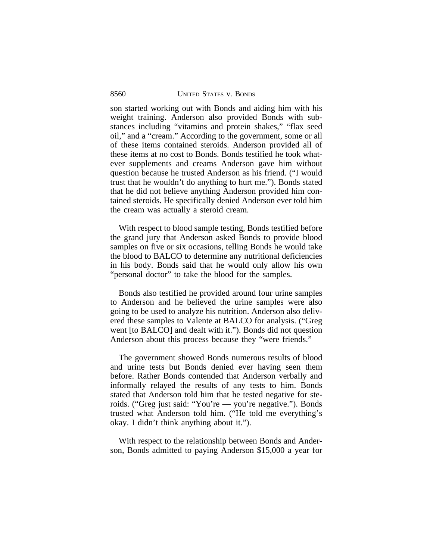son started working out with Bonds and aiding him with his weight training. Anderson also provided Bonds with substances including "vitamins and protein shakes," "flax seed oil," and a "cream." According to the government, some or all of these items contained steroids. Anderson provided all of these items at no cost to Bonds. Bonds testified he took whatever supplements and creams Anderson gave him without question because he trusted Anderson as his friend. ("I would trust that he wouldn't do anything to hurt me."). Bonds stated that he did not believe anything Anderson provided him contained steroids. He specifically denied Anderson ever told him the cream was actually a steroid cream.

With respect to blood sample testing, Bonds testified before the grand jury that Anderson asked Bonds to provide blood samples on five or six occasions, telling Bonds he would take the blood to BALCO to determine any nutritional deficiencies in his body. Bonds said that he would only allow his own "personal doctor" to take the blood for the samples.

Bonds also testified he provided around four urine samples to Anderson and he believed the urine samples were also going to be used to analyze his nutrition. Anderson also delivered these samples to Valente at BALCO for analysis. ("Greg went [to BALCO] and dealt with it."). Bonds did not question Anderson about this process because they "were friends."

The government showed Bonds numerous results of blood and urine tests but Bonds denied ever having seen them before. Rather Bonds contended that Anderson verbally and informally relayed the results of any tests to him. Bonds stated that Anderson told him that he tested negative for steroids. ("Greg just said: "You're — you're negative."). Bonds trusted what Anderson told him. ("He told me everything's okay. I didn't think anything about it.").

With respect to the relationship between Bonds and Anderson, Bonds admitted to paying Anderson \$15,000 a year for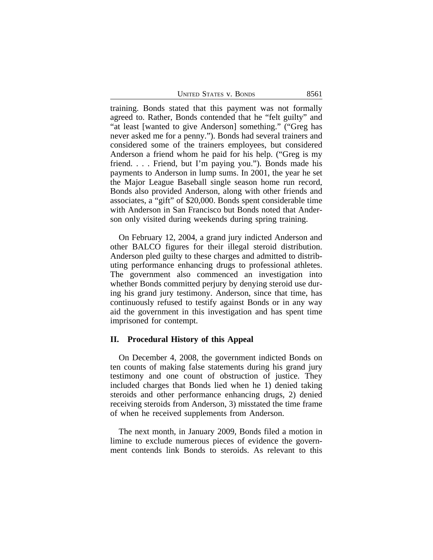| <b>UNITED STATES V. BONDS</b> |  |  |  |  |  | 8561 |
|-------------------------------|--|--|--|--|--|------|
|-------------------------------|--|--|--|--|--|------|

training. Bonds stated that this payment was not formally agreed to. Rather, Bonds contended that he "felt guilty" and "at least [wanted to give Anderson] something." ("Greg has never asked me for a penny."). Bonds had several trainers and considered some of the trainers employees, but considered Anderson a friend whom he paid for his help. ("Greg is my friend. . . . Friend, but I'm paying you."). Bonds made his payments to Anderson in lump sums. In 2001, the year he set the Major League Baseball single season home run record, Bonds also provided Anderson, along with other friends and associates, a "gift" of \$20,000. Bonds spent considerable time with Anderson in San Francisco but Bonds noted that Anderson only visited during weekends during spring training.

On February 12, 2004, a grand jury indicted Anderson and other BALCO figures for their illegal steroid distribution. Anderson pled guilty to these charges and admitted to distributing performance enhancing drugs to professional athletes. The government also commenced an investigation into whether Bonds committed perjury by denying steroid use during his grand jury testimony. Anderson, since that time, has continuously refused to testify against Bonds or in any way aid the government in this investigation and has spent time imprisoned for contempt.

### **II. Procedural History of this Appeal**

On December 4, 2008, the government indicted Bonds on ten counts of making false statements during his grand jury testimony and one count of obstruction of justice. They included charges that Bonds lied when he 1) denied taking steroids and other performance enhancing drugs, 2) denied receiving steroids from Anderson, 3) misstated the time frame of when he received supplements from Anderson.

The next month, in January 2009, Bonds filed a motion in limine to exclude numerous pieces of evidence the government contends link Bonds to steroids. As relevant to this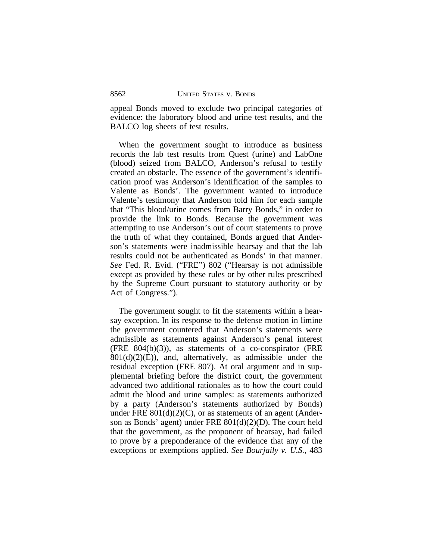appeal Bonds moved to exclude two principal categories of evidence: the laboratory blood and urine test results, and the BALCO log sheets of test results.

When the government sought to introduce as business records the lab test results from Quest (urine) and LabOne (blood) seized from BALCO, Anderson's refusal to testify created an obstacle. The essence of the government's identification proof was Anderson's identification of the samples to Valente as Bonds'. The government wanted to introduce Valente's testimony that Anderson told him for each sample that "This blood/urine comes from Barry Bonds," in order to provide the link to Bonds. Because the government was attempting to use Anderson's out of court statements to prove the truth of what they contained, Bonds argued that Anderson's statements were inadmissible hearsay and that the lab results could not be authenticated as Bonds' in that manner. *See* Fed. R. Evid. ("FRE") 802 ("Hearsay is not admissible except as provided by these rules or by other rules prescribed by the Supreme Court pursuant to statutory authority or by Act of Congress.").

The government sought to fit the statements within a hearsay exception. In its response to the defense motion in limine the government countered that Anderson's statements were admissible as statements against Anderson's penal interest (FRE  $804(b)(3)$ ), as statements of a co-conspirator (FRE  $801(d)(2)(E)$ , and, alternatively, as admissible under the residual exception (FRE 807). At oral argument and in supplemental briefing before the district court, the government advanced two additional rationales as to how the court could admit the blood and urine samples: as statements authorized by a party (Anderson's statements authorized by Bonds) under FRE  $801(d)(2)(C)$ , or as statements of an agent (Anderson as Bonds' agent) under FRE 801(d)(2)(D). The court held that the government, as the proponent of hearsay, had failed to prove by a preponderance of the evidence that any of the exceptions or exemptions applied. *See Bourjaily v. U.S.*, 483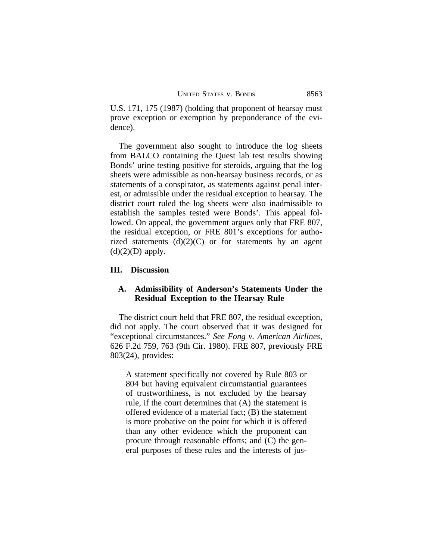U.S. 171, 175 (1987) (holding that proponent of hearsay must prove exception or exemption by preponderance of the evidence).

The government also sought to introduce the log sheets from BALCO containing the Quest lab test results showing Bonds' urine testing positive for steroids, arguing that the log sheets were admissible as non-hearsay business records, or as statements of a conspirator, as statements against penal interest, or admissible under the residual exception to hearsay. The district court ruled the log sheets were also inadmissible to establish the samples tested were Bonds'. This appeal followed. On appeal, the government argues only that FRE 807, the residual exception, or FRE 801's exceptions for authorized statements  $(d)(2)(C)$  or for statements by an agent  $(d)(2)(D)$  apply.

## **III. Discussion**

## **A. Admissibility of Anderson's Statements Under the Residual Exception to the Hearsay Rule**

The district court held that FRE 807, the residual exception, did not apply. The court observed that it was designed for "exceptional circumstances." *See Fong v. American Airlines*, 626 F.2d 759, 763 (9th Cir. 1980). FRE 807, previously FRE 803(24), provides:

A statement specifically not covered by Rule 803 or 804 but having equivalent circumstantial guarantees of trustworthiness, is not excluded by the hearsay rule, if the court determines that (A) the statement is offered evidence of a material fact; (B) the statement is more probative on the point for which it is offered than any other evidence which the proponent can procure through reasonable efforts; and (C) the general purposes of these rules and the interests of jus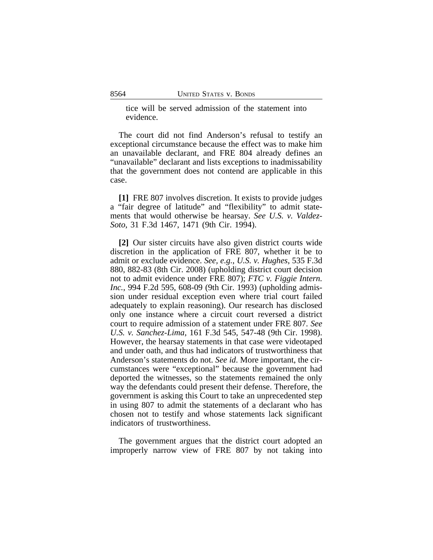tice will be served admission of the statement into evidence.

The court did not find Anderson's refusal to testify an exceptional circumstance because the effect was to make him an unavailable declarant, and FRE 804 already defines an "unavailable" declarant and lists exceptions to inadmissability that the government does not contend are applicable in this case.

**[1]** FRE 807 involves discretion. It exists to provide judges a "fair degree of latitude" and "flexibility" to admit statements that would otherwise be hearsay. *See U.S. v. Valdez-Soto*, 31 F.3d 1467, 1471 (9th Cir. 1994).

**[2]** Our sister circuits have also given district courts wide discretion in the application of FRE 807, whether it be to admit or exclude evidence. *See, e.g.*, *U.S. v. Hughes*, 535 F.3d 880, 882-83 (8th Cir. 2008) (upholding district court decision not to admit evidence under FRE 807); *FTC v. Figgie Intern. Inc.*, 994 F.2d 595, 608-09 (9th Cir. 1993) (upholding admission under residual exception even where trial court failed adequately to explain reasoning). Our research has disclosed only one instance where a circuit court reversed a district court to require admission of a statement under FRE 807. *See U.S. v. Sanchez-Lima*, 161 F.3d 545, 547-48 (9th Cir. 1998). However, the hearsay statements in that case were videotaped and under oath, and thus had indicators of trustworthiness that Anderson's statements do not. *See id*. More important, the circumstances were "exceptional" because the government had deported the witnesses, so the statements remained the only way the defendants could present their defense. Therefore, the government is asking this Court to take an unprecedented step in using 807 to admit the statements of a declarant who has chosen not to testify and whose statements lack significant indicators of trustworthiness.

The government argues that the district court adopted an improperly narrow view of FRE 807 by not taking into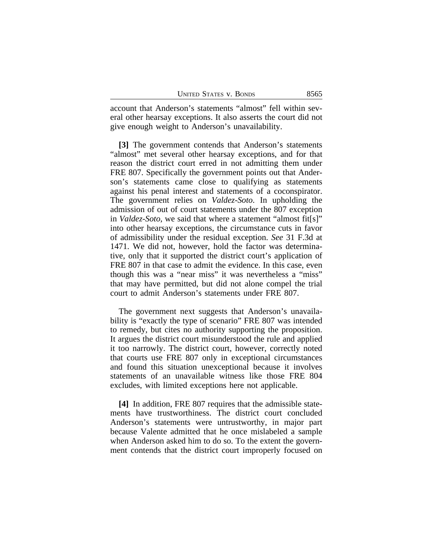account that Anderson's statements "almost" fell within several other hearsay exceptions. It also asserts the court did not give enough weight to Anderson's unavailability.

**[3]** The government contends that Anderson's statements "almost" met several other hearsay exceptions, and for that reason the district court erred in not admitting them under FRE 807. Specifically the government points out that Anderson's statements came close to qualifying as statements against his penal interest and statements of a coconspirator. The government relies on *Valdez-Soto*. In upholding the admission of out of court statements under the 807 exception in *Valdez-Soto*, we said that where a statement "almost fit[s]" into other hearsay exceptions, the circumstance cuts in favor of admissibility under the residual exception. *See* 31 F.3d at 1471. We did not, however, hold the factor was determinative, only that it supported the district court's application of FRE 807 in that case to admit the evidence. In this case, even though this was a "near miss" it was nevertheless a "miss" that may have permitted, but did not alone compel the trial court to admit Anderson's statements under FRE 807.

The government next suggests that Anderson's unavailability is "exactly the type of scenario" FRE 807 was intended to remedy, but cites no authority supporting the proposition. It argues the district court misunderstood the rule and applied it too narrowly. The district court, however, correctly noted that courts use FRE 807 only in exceptional circumstances and found this situation unexceptional because it involves statements of an unavailable witness like those FRE 804 excludes, with limited exceptions here not applicable.

**[4]** In addition, FRE 807 requires that the admissible statements have trustworthiness. The district court concluded Anderson's statements were untrustworthy, in major part because Valente admitted that he once mislabeled a sample when Anderson asked him to do so. To the extent the government contends that the district court improperly focused on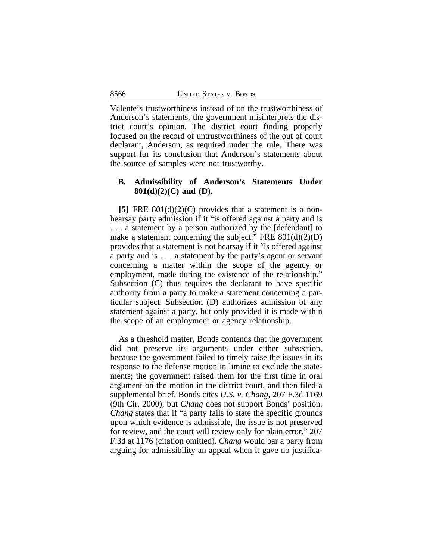Valente's trustworthiness instead of on the trustworthiness of Anderson's statements, the government misinterprets the district court's opinion. The district court finding properly focused on the record of untrustworthiness of the out of court declarant, Anderson, as required under the rule. There was support for its conclusion that Anderson's statements about the source of samples were not trustworthy.

## **B. Admissibility of Anderson's Statements Under 801(d)(2)(C) and (D).**

**[5]** FRE 801(d)(2)(C) provides that a statement is a nonhearsay party admission if it "is offered against a party and is . . . a statement by a person authorized by the [defendant] to make a statement concerning the subject." FRE  $801(d)(2)(D)$ provides that a statement is not hearsay if it "is offered against a party and is . . . a statement by the party's agent or servant concerning a matter within the scope of the agency or employment, made during the existence of the relationship." Subsection (C) thus requires the declarant to have specific authority from a party to make a statement concerning a particular subject. Subsection (D) authorizes admission of any statement against a party, but only provided it is made within the scope of an employment or agency relationship.

As a threshold matter, Bonds contends that the government did not preserve its arguments under either subsection, because the government failed to timely raise the issues in its response to the defense motion in limine to exclude the statements; the government raised them for the first time in oral argument on the motion in the district court, and then filed a supplemental brief. Bonds cites *U.S. v. Chang*, 207 F.3d 1169 (9th Cir. 2000), but *Chang* does not support Bonds' position. *Chang* states that if "a party fails to state the specific grounds upon which evidence is admissible, the issue is not preserved for review, and the court will review only for plain error." 207 F.3d at 1176 (citation omitted). *Chang* would bar a party from arguing for admissibility an appeal when it gave no justifica-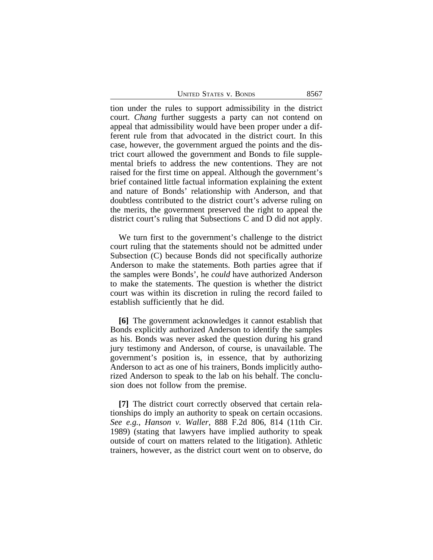| UNITED STATES V. BONDS | 8567 |
|------------------------|------|
|------------------------|------|

tion under the rules to support admissibility in the district court. *Chang* further suggests a party can not contend on appeal that admissibility would have been proper under a different rule from that advocated in the district court. In this case, however, the government argued the points and the district court allowed the government and Bonds to file supplemental briefs to address the new contentions. They are not raised for the first time on appeal. Although the government's brief contained little factual information explaining the extent and nature of Bonds' relationship with Anderson, and that doubtless contributed to the district court's adverse ruling on the merits, the government preserved the right to appeal the district court's ruling that Subsections C and D did not apply.

We turn first to the government's challenge to the district court ruling that the statements should not be admitted under Subsection (C) because Bonds did not specifically authorize Anderson to make the statements. Both parties agree that if the samples were Bonds', he *could* have authorized Anderson to make the statements. The question is whether the district court was within its discretion in ruling the record failed to establish sufficiently that he did.

**[6]** The government acknowledges it cannot establish that Bonds explicitly authorized Anderson to identify the samples as his. Bonds was never asked the question during his grand jury testimony and Anderson, of course, is unavailable. The government's position is, in essence, that by authorizing Anderson to act as one of his trainers, Bonds implicitly authorized Anderson to speak to the lab on his behalf. The conclusion does not follow from the premise.

**[7]** The district court correctly observed that certain relationships do imply an authority to speak on certain occasions. *See e.g.*, *Hanson v. Waller*, 888 F.2d 806, 814 (11th Cir. 1989) (stating that lawyers have implied authority to speak outside of court on matters related to the litigation). Athletic trainers, however, as the district court went on to observe, do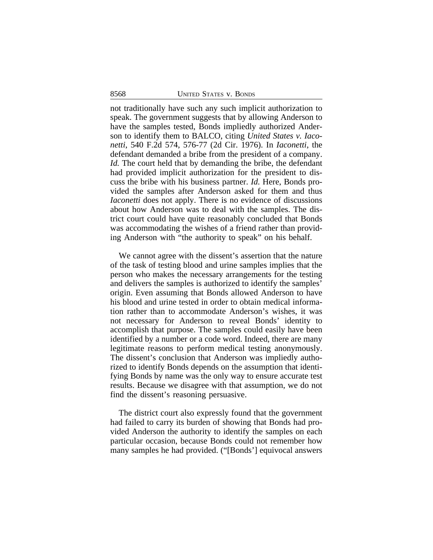not traditionally have such any such implicit authorization to speak. The government suggests that by allowing Anderson to have the samples tested, Bonds impliedly authorized Anderson to identify them to BALCO, citing *United States v. Iaconetti*, 540 F.2d 574, 576-77 (2d Cir. 1976). In *Iaconetti*, the defendant demanded a bribe from the president of a company. *Id.* The court held that by demanding the bribe, the defendant had provided implicit authorization for the president to discuss the bribe with his business partner. *Id.* Here, Bonds provided the samples after Anderson asked for them and thus *Iaconetti* does not apply. There is no evidence of discussions about how Anderson was to deal with the samples. The district court could have quite reasonably concluded that Bonds was accommodating the wishes of a friend rather than providing Anderson with "the authority to speak" on his behalf.

We cannot agree with the dissent's assertion that the nature of the task of testing blood and urine samples implies that the person who makes the necessary arrangements for the testing and delivers the samples is authorized to identify the samples' origin. Even assuming that Bonds allowed Anderson to have his blood and urine tested in order to obtain medical information rather than to accommodate Anderson's wishes, it was not necessary for Anderson to reveal Bonds' identity to accomplish that purpose. The samples could easily have been identified by a number or a code word. Indeed, there are many legitimate reasons to perform medical testing anonymously. The dissent's conclusion that Anderson was impliedly authorized to identify Bonds depends on the assumption that identifying Bonds by name was the only way to ensure accurate test results. Because we disagree with that assumption, we do not find the dissent's reasoning persuasive.

The district court also expressly found that the government had failed to carry its burden of showing that Bonds had provided Anderson the authority to identify the samples on each particular occasion, because Bonds could not remember how many samples he had provided. ("[Bonds'] equivocal answers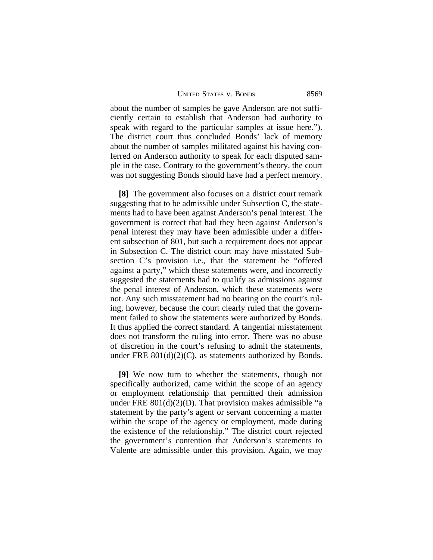| <b>UNITED STATES V. BONDS</b><br>8569 |  |
|---------------------------------------|--|
|---------------------------------------|--|

about the number of samples he gave Anderson are not sufficiently certain to establish that Anderson had authority to speak with regard to the particular samples at issue here."). The district court thus concluded Bonds' lack of memory about the number of samples militated against his having conferred on Anderson authority to speak for each disputed sample in the case. Contrary to the government's theory, the court was not suggesting Bonds should have had a perfect memory.

**[8]** The government also focuses on a district court remark suggesting that to be admissible under Subsection C, the statements had to have been against Anderson's penal interest. The government is correct that had they been against Anderson's penal interest they may have been admissible under a different subsection of 801, but such a requirement does not appear in Subsection C. The district court may have misstated Subsection C's provision i.e., that the statement be "offered against a party," which these statements were, and incorrectly suggested the statements had to qualify as admissions against the penal interest of Anderson, which these statements were not. Any such misstatement had no bearing on the court's ruling, however, because the court clearly ruled that the government failed to show the statements were authorized by Bonds. It thus applied the correct standard. A tangential misstatement does not transform the ruling into error. There was no abuse of discretion in the court's refusing to admit the statements, under FRE  $801(d)(2)(C)$ , as statements authorized by Bonds.

**[9]** We now turn to whether the statements, though not specifically authorized, came within the scope of an agency or employment relationship that permitted their admission under FRE  $801(d)(2)(D)$ . That provision makes admissible "a statement by the party's agent or servant concerning a matter within the scope of the agency or employment, made during the existence of the relationship." The district court rejected the government's contention that Anderson's statements to Valente are admissible under this provision. Again, we may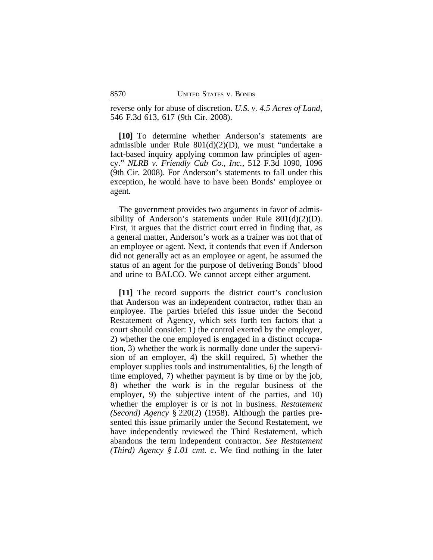reverse only for abuse of discretion. *U.S. v. 4.5 Acres of Land*, 546 F.3d 613, 617 (9th Cir. 2008).

**[10]** To determine whether Anderson's statements are admissible under Rule  $801(d)(2)(D)$ , we must "undertake a fact-based inquiry applying common law principles of agency." *NLRB v. Friendly Cab Co., Inc.*, 512 F.3d 1090, 1096 (9th Cir. 2008). For Anderson's statements to fall under this exception, he would have to have been Bonds' employee or agent.

The government provides two arguments in favor of admissibility of Anderson's statements under Rule  $801(d)(2)(D)$ . First, it argues that the district court erred in finding that, as a general matter, Anderson's work as a trainer was not that of an employee or agent. Next, it contends that even if Anderson did not generally act as an employee or agent, he assumed the status of an agent for the purpose of delivering Bonds' blood and urine to BALCO. We cannot accept either argument.

**[11]** The record supports the district court's conclusion that Anderson was an independent contractor, rather than an employee. The parties briefed this issue under the Second Restatement of Agency, which sets forth ten factors that a court should consider: 1) the control exerted by the employer, 2) whether the one employed is engaged in a distinct occupation, 3) whether the work is normally done under the supervision of an employer, 4) the skill required, 5) whether the employer supplies tools and instrumentalities, 6) the length of time employed, 7) whether payment is by time or by the job, 8) whether the work is in the regular business of the employer, 9) the subjective intent of the parties, and 10) whether the employer is or is not in business. *Restatement (Second) Agency* § 220(2) (1958). Although the parties presented this issue primarily under the Second Restatement, we have independently reviewed the Third Restatement, which abandons the term independent contractor. *See Restatement (Third) Agency § 1.01 cmt. c*. We find nothing in the later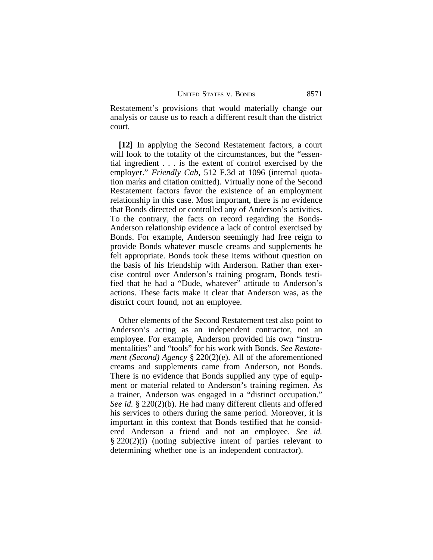Restatement's provisions that would materially change our analysis or cause us to reach a different result than the district court.

**[12]** In applying the Second Restatement factors, a court will look to the totality of the circumstances, but the "essential ingredient . . . is the extent of control exercised by the employer." *Friendly Cab*, 512 F.3d at 1096 (internal quotation marks and citation omitted). Virtually none of the Second Restatement factors favor the existence of an employment relationship in this case. Most important, there is no evidence that Bonds directed or controlled any of Anderson's activities. To the contrary, the facts on record regarding the Bonds-Anderson relationship evidence a lack of control exercised by Bonds. For example, Anderson seemingly had free reign to provide Bonds whatever muscle creams and supplements he felt appropriate. Bonds took these items without question on the basis of his friendship with Anderson. Rather than exercise control over Anderson's training program, Bonds testified that he had a "Dude, whatever" attitude to Anderson's actions. These facts make it clear that Anderson was, as the district court found, not an employee.

Other elements of the Second Restatement test also point to Anderson's acting as an independent contractor, not an employee. For example, Anderson provided his own "instrumentalities" and "tools" for his work with Bonds. *See Restatement (Second) Agency* § 220(2)(e). All of the aforementioned creams and supplements came from Anderson, not Bonds. There is no evidence that Bonds supplied any type of equipment or material related to Anderson's training regimen. As a trainer, Anderson was engaged in a "distinct occupation." *See id.* § 220(2)(b). He had many different clients and offered his services to others during the same period. Moreover, it is important in this context that Bonds testified that he considered Anderson a friend and not an employee. *See id.* § 220(2)(i) (noting subjective intent of parties relevant to determining whether one is an independent contractor).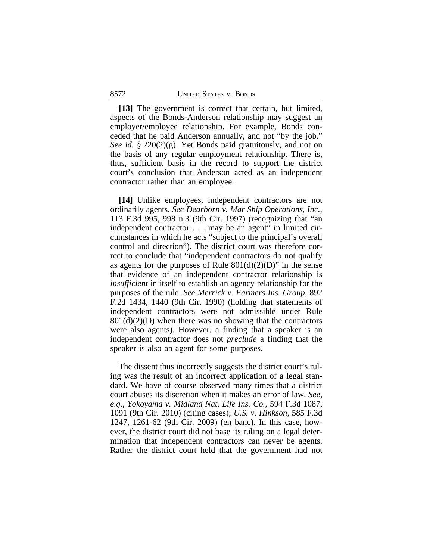**[13]** The government is correct that certain, but limited, aspects of the Bonds-Anderson relationship may suggest an employer/employee relationship. For example, Bonds conceded that he paid Anderson annually, and not "by the job." *See id.* § 220(2)(g). Yet Bonds paid gratuitously, and not on the basis of any regular employment relationship. There is, thus, sufficient basis in the record to support the district court's conclusion that Anderson acted as an independent contractor rather than an employee.

**[14]** Unlike employees, independent contractors are not ordinarily agents. *See Dearborn v. Mar Ship Operations, Inc.*, 113 F.3d 995, 998 n.3 (9th Cir. 1997) (recognizing that "an independent contractor . . . may be an agent" in limited circumstances in which he acts "subject to the principal's overall control and direction"). The district court was therefore correct to conclude that "independent contractors do not qualify as agents for the purposes of Rule  $801(d)(2)(D)$ " in the sense that evidence of an independent contractor relationship is *insufficient* in itself to establish an agency relationship for the purposes of the rule. *See Merrick v. Farmers Ins. Group*, 892 F.2d 1434, 1440 (9th Cir. 1990) (holding that statements of independent contractors were not admissible under Rule  $801(d)(2)(D)$  when there was no showing that the contractors were also agents). However, a finding that a speaker is an independent contractor does not *preclude* a finding that the speaker is also an agent for some purposes.

The dissent thus incorrectly suggests the district court's ruling was the result of an incorrect application of a legal standard. We have of course observed many times that a district court abuses its discretion when it makes an error of law. *See, e.g.*, *Yokoyama v. Midland Nat. Life Ins. Co.*, 594 F.3d 1087, 1091 (9th Cir. 2010) (citing cases); *U.S. v. Hinkson*, 585 F.3d 1247, 1261-62 (9th Cir. 2009) (en banc). In this case, however, the district court did not base its ruling on a legal determination that independent contractors can never be agents. Rather the district court held that the government had not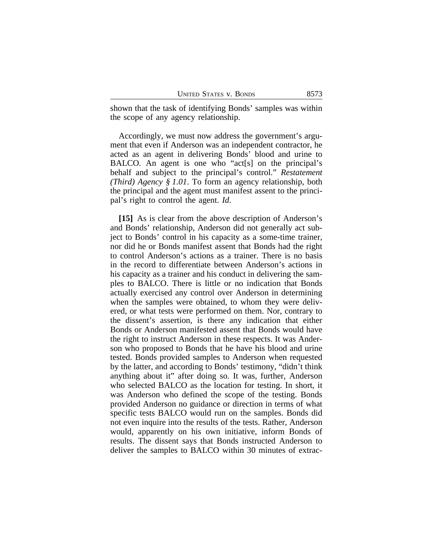shown that the task of identifying Bonds' samples was within the scope of any agency relationship.

Accordingly, we must now address the government's argument that even if Anderson was an independent contractor, he acted as an agent in delivering Bonds' blood and urine to BALCO. An agent is one who "act[s] on the principal's behalf and subject to the principal's control." *Restatement (Third) Agency § 1.01*. To form an agency relationship, both the principal and the agent must manifest assent to the principal's right to control the agent. *Id*.

**[15]** As is clear from the above description of Anderson's and Bonds' relationship, Anderson did not generally act subject to Bonds' control in his capacity as a some-time trainer, nor did he or Bonds manifest assent that Bonds had the right to control Anderson's actions as a trainer. There is no basis in the record to differentiate between Anderson's actions in his capacity as a trainer and his conduct in delivering the samples to BALCO. There is little or no indication that Bonds actually exercised any control over Anderson in determining when the samples were obtained, to whom they were delivered, or what tests were performed on them. Nor, contrary to the dissent's assertion, is there any indication that either Bonds or Anderson manifested assent that Bonds would have the right to instruct Anderson in these respects. It was Anderson who proposed to Bonds that he have his blood and urine tested. Bonds provided samples to Anderson when requested by the latter, and according to Bonds' testimony, "didn't think anything about it" after doing so. It was, further, Anderson who selected BALCO as the location for testing. In short, it was Anderson who defined the scope of the testing. Bonds provided Anderson no guidance or direction in terms of what specific tests BALCO would run on the samples. Bonds did not even inquire into the results of the tests. Rather, Anderson would, apparently on his own initiative, inform Bonds of results. The dissent says that Bonds instructed Anderson to deliver the samples to BALCO within 30 minutes of extrac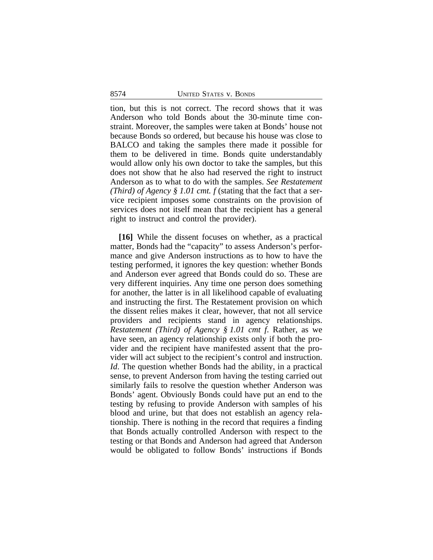tion, but this is not correct. The record shows that it was Anderson who told Bonds about the 30-minute time constraint. Moreover, the samples were taken at Bonds' house not because Bonds so ordered, but because his house was close to BALCO and taking the samples there made it possible for them to be delivered in time. Bonds quite understandably would allow only his own doctor to take the samples, but this does not show that he also had reserved the right to instruct Anderson as to what to do with the samples. *See Restatement (Third) of Agency § 1.01 cmt. f* (stating that the fact that a service recipient imposes some constraints on the provision of services does not itself mean that the recipient has a general right to instruct and control the provider).

**[16]** While the dissent focuses on whether, as a practical matter, Bonds had the "capacity" to assess Anderson's performance and give Anderson instructions as to how to have the testing performed, it ignores the key question: whether Bonds and Anderson ever agreed that Bonds could do so. These are very different inquiries. Any time one person does something for another, the latter is in all likelihood capable of evaluating and instructing the first. The Restatement provision on which the dissent relies makes it clear, however, that not all service providers and recipients stand in agency relationships. *Restatement (Third) of Agency § 1.01 cmt f*. Rather, as we have seen, an agency relationship exists only if both the provider and the recipient have manifested assent that the provider will act subject to the recipient's control and instruction. *Id*. The question whether Bonds had the ability, in a practical sense, to prevent Anderson from having the testing carried out similarly fails to resolve the question whether Anderson was Bonds' agent. Obviously Bonds could have put an end to the testing by refusing to provide Anderson with samples of his blood and urine, but that does not establish an agency relationship. There is nothing in the record that requires a finding that Bonds actually controlled Anderson with respect to the testing or that Bonds and Anderson had agreed that Anderson would be obligated to follow Bonds' instructions if Bonds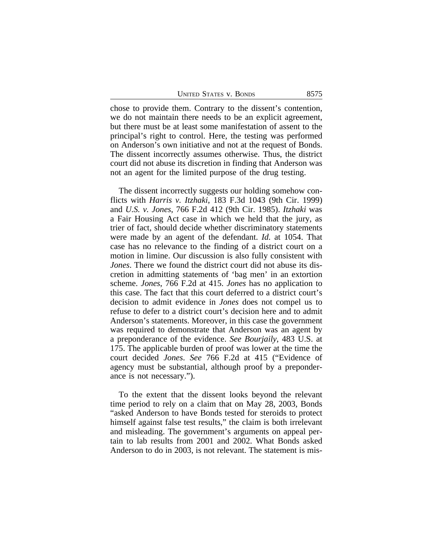| <b>UNITED STATES V. BONDS</b> | 8575 |
|-------------------------------|------|
|-------------------------------|------|

chose to provide them. Contrary to the dissent's contention, we do not maintain there needs to be an explicit agreement, but there must be at least some manifestation of assent to the principal's right to control. Here, the testing was performed on Anderson's own initiative and not at the request of Bonds. The dissent incorrectly assumes otherwise. Thus, the district court did not abuse its discretion in finding that Anderson was not an agent for the limited purpose of the drug testing.

The dissent incorrectly suggests our holding somehow conflicts with *Harris v. Itzhaki*, 183 F.3d 1043 (9th Cir. 1999) and *U.S. v. Jones*, 766 F.2d 412 (9th Cir. 1985). *Itzhaki* was a Fair Housing Act case in which we held that the jury, as trier of fact, should decide whether discriminatory statements were made by an agent of the defendant. *Id.* at 1054. That case has no relevance to the finding of a district court on a motion in limine. Our discussion is also fully consistent with *Jones*. There we found the district court did not abuse its discretion in admitting statements of 'bag men' in an extortion scheme. *Jones*, 766 F.2d at 415. *Jones* has no application to this case. The fact that this court deferred to a district court's decision to admit evidence in *Jones* does not compel us to refuse to defer to a district court's decision here and to admit Anderson's statements. Moreover, in this case the government was required to demonstrate that Anderson was an agent by a preponderance of the evidence. *See Bourjaily*, 483 U.S. at 175. The applicable burden of proof was lower at the time the court decided *Jones*. *See* 766 F.2d at 415 ("Evidence of agency must be substantial, although proof by a preponderance is not necessary.").

To the extent that the dissent looks beyond the relevant time period to rely on a claim that on May 28, 2003, Bonds "asked Anderson to have Bonds tested for steroids to protect himself against false test results," the claim is both irrelevant and misleading. The government's arguments on appeal pertain to lab results from 2001 and 2002. What Bonds asked Anderson to do in 2003, is not relevant. The statement is mis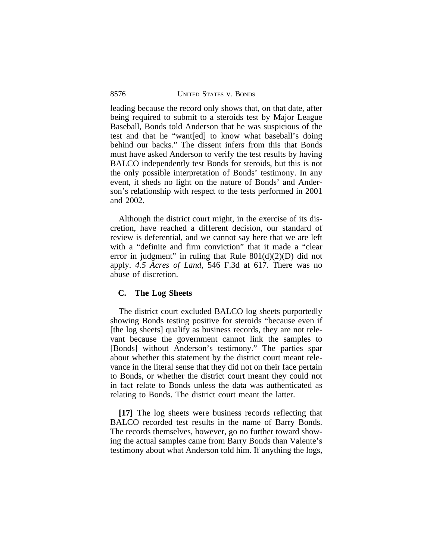leading because the record only shows that, on that date, after being required to submit to a steroids test by Major League Baseball, Bonds told Anderson that he was suspicious of the test and that he "want[ed] to know what baseball's doing behind our backs." The dissent infers from this that Bonds must have asked Anderson to verify the test results by having BALCO independently test Bonds for steroids, but this is not the only possible interpretation of Bonds' testimony. In any event, it sheds no light on the nature of Bonds' and Anderson's relationship with respect to the tests performed in 2001 and 2002.

Although the district court might, in the exercise of its discretion, have reached a different decision, our standard of review is deferential, and we cannot say here that we are left with a "definite and firm conviction" that it made a "clear error in judgment" in ruling that Rule  $801(d)(2)(D)$  did not apply. *4.5 Acres of Land*, 546 F.3d at 617. There was no abuse of discretion.

#### **C. The Log Sheets**

The district court excluded BALCO log sheets purportedly showing Bonds testing positive for steroids "because even if [the log sheets] qualify as business records, they are not relevant because the government cannot link the samples to [Bonds] without Anderson's testimony." The parties spar about whether this statement by the district court meant relevance in the literal sense that they did not on their face pertain to Bonds, or whether the district court meant they could not in fact relate to Bonds unless the data was authenticated as relating to Bonds. The district court meant the latter.

**[17]** The log sheets were business records reflecting that BALCO recorded test results in the name of Barry Bonds. The records themselves, however, go no further toward showing the actual samples came from Barry Bonds than Valente's testimony about what Anderson told him. If anything the logs,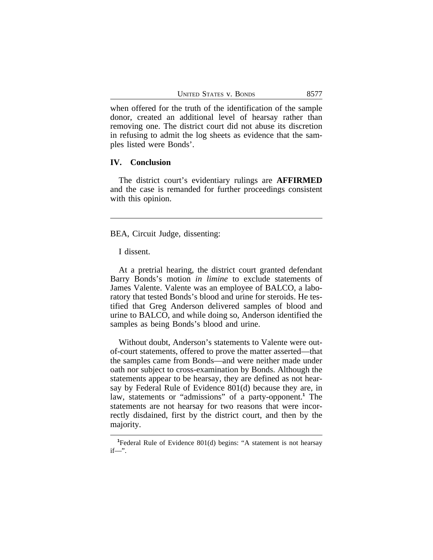when offered for the truth of the identification of the sample donor, created an additional level of hearsay rather than removing one. The district court did not abuse its discretion in refusing to admit the log sheets as evidence that the samples listed were Bonds'.

#### **IV. Conclusion**

The district court's evidentiary rulings are **AFFIRMED** and the case is remanded for further proceedings consistent with this opinion.

BEA, Circuit Judge, dissenting:

I dissent.

At a pretrial hearing, the district court granted defendant Barry Bonds's motion *in limine* to exclude statements of James Valente. Valente was an employee of BALCO, a laboratory that tested Bonds's blood and urine for steroids. He testified that Greg Anderson delivered samples of blood and urine to BALCO, and while doing so, Anderson identified the samples as being Bonds's blood and urine.

Without doubt, Anderson's statements to Valente were outof-court statements, offered to prove the matter asserted—that the samples came from Bonds—and were neither made under oath nor subject to cross-examination by Bonds. Although the statements appear to be hearsay, they are defined as not hearsay by Federal Rule of Evidence 801(d) because they are, in law, statements or "admissions" of a party-opponent.**<sup>1</sup>** The statements are not hearsay for two reasons that were incorrectly disdained, first by the district court, and then by the majority.

**<sup>1</sup>**Federal Rule of Evidence 801(d) begins: "A statement is not hearsay if—".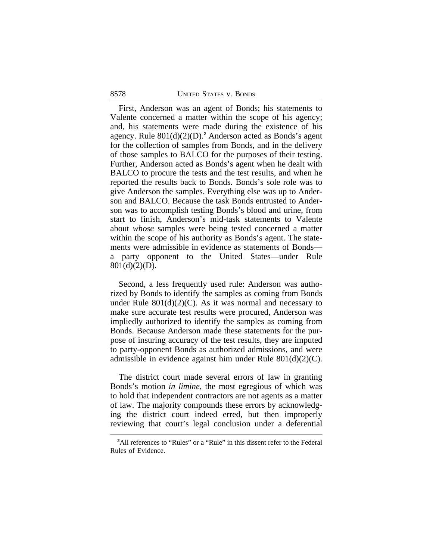First, Anderson was an agent of Bonds; his statements to Valente concerned a matter within the scope of his agency; and, his statements were made during the existence of his agency. Rule 801(d)(2)(D).**<sup>2</sup>** Anderson acted as Bonds's agent for the collection of samples from Bonds, and in the delivery of those samples to BALCO for the purposes of their testing. Further, Anderson acted as Bonds's agent when he dealt with BALCO to procure the tests and the test results, and when he reported the results back to Bonds. Bonds's sole role was to give Anderson the samples. Everything else was up to Anderson and BALCO. Because the task Bonds entrusted to Anderson was to accomplish testing Bonds's blood and urine, from start to finish, Anderson's mid-task statements to Valente about *whose* samples were being tested concerned a matter within the scope of his authority as Bonds's agent. The statements were admissible in evidence as statements of Bonds a party opponent to the United States—under Rule  $801(d)(2)(D)$ .

Second, a less frequently used rule: Anderson was authorized by Bonds to identify the samples as coming from Bonds under Rule  $801(d)(2)(C)$ . As it was normal and necessary to make sure accurate test results were procured, Anderson was impliedly authorized to identify the samples as coming from Bonds. Because Anderson made these statements for the purpose of insuring accuracy of the test results, they are imputed to party-opponent Bonds as authorized admissions, and were admissible in evidence against him under Rule 801(d)(2)(C).

The district court made several errors of law in granting Bonds's motion *in limine*, the most egregious of which was to hold that independent contractors are not agents as a matter of law. The majority compounds these errors by acknowledging the district court indeed erred, but then improperly reviewing that court's legal conclusion under a deferential

<sup>&</sup>lt;sup>2</sup>All references to "Rules" or a "Rule" in this dissent refer to the Federal Rules of Evidence.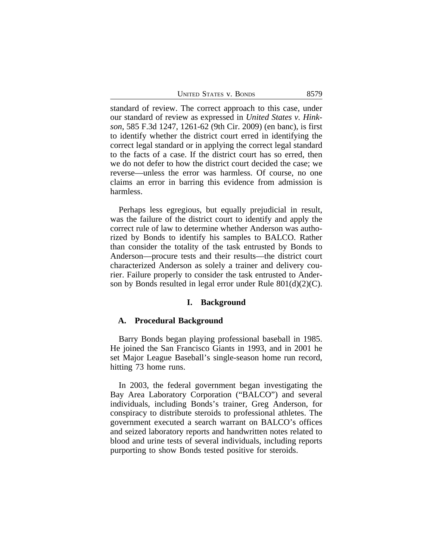| UNITED STATES V. BONDS | 8579 |
|------------------------|------|
|------------------------|------|

standard of review. The correct approach to this case, under our standard of review as expressed in *United States v. Hinkson*, 585 F.3d 1247, 1261-62 (9th Cir. 2009) (en banc), is first to identify whether the district court erred in identifying the correct legal standard or in applying the correct legal standard to the facts of a case. If the district court has so erred, then we do not defer to how the district court decided the case; we reverse—unless the error was harmless. Of course, no one claims an error in barring this evidence from admission is harmless.

Perhaps less egregious, but equally prejudicial in result, was the failure of the district court to identify and apply the correct rule of law to determine whether Anderson was authorized by Bonds to identify his samples to BALCO. Rather than consider the totality of the task entrusted by Bonds to Anderson—procure tests and their results—the district court characterized Anderson as solely a trainer and delivery courier. Failure properly to consider the task entrusted to Anderson by Bonds resulted in legal error under Rule 801(d)(2)(C).

#### **I. Background**

#### **A. Procedural Background**

Barry Bonds began playing professional baseball in 1985. He joined the San Francisco Giants in 1993, and in 2001 he set Major League Baseball's single-season home run record, hitting 73 home runs.

In 2003, the federal government began investigating the Bay Area Laboratory Corporation ("BALCO") and several individuals, including Bonds's trainer, Greg Anderson, for conspiracy to distribute steroids to professional athletes. The government executed a search warrant on BALCO's offices and seized laboratory reports and handwritten notes related to blood and urine tests of several individuals, including reports purporting to show Bonds tested positive for steroids.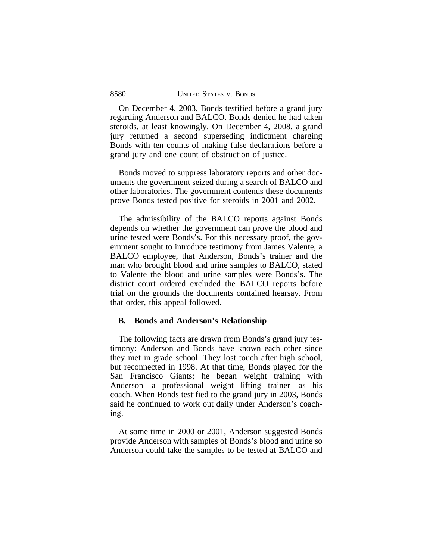On December 4, 2003, Bonds testified before a grand jury regarding Anderson and BALCO. Bonds denied he had taken steroids, at least knowingly. On December 4, 2008, a grand jury returned a second superseding indictment charging Bonds with ten counts of making false declarations before a grand jury and one count of obstruction of justice.

Bonds moved to suppress laboratory reports and other documents the government seized during a search of BALCO and other laboratories. The government contends these documents prove Bonds tested positive for steroids in 2001 and 2002.

The admissibility of the BALCO reports against Bonds depends on whether the government can prove the blood and urine tested were Bonds's. For this necessary proof, the government sought to introduce testimony from James Valente, a BALCO employee, that Anderson, Bonds's trainer and the man who brought blood and urine samples to BALCO, stated to Valente the blood and urine samples were Bonds's. The district court ordered excluded the BALCO reports before trial on the grounds the documents contained hearsay. From that order, this appeal followed.

#### **B. Bonds and Anderson's Relationship**

The following facts are drawn from Bonds's grand jury testimony: Anderson and Bonds have known each other since they met in grade school. They lost touch after high school, but reconnected in 1998. At that time, Bonds played for the San Francisco Giants; he began weight training with Anderson—a professional weight lifting trainer—as his coach. When Bonds testified to the grand jury in 2003, Bonds said he continued to work out daily under Anderson's coaching.

At some time in 2000 or 2001, Anderson suggested Bonds provide Anderson with samples of Bonds's blood and urine so Anderson could take the samples to be tested at BALCO and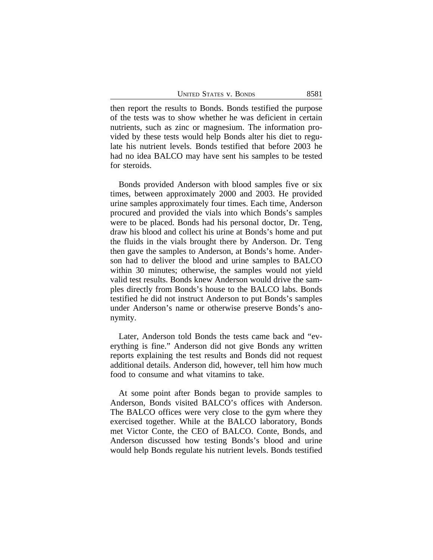UNITED STATES V. BONDS 8581

then report the results to Bonds. Bonds testified the purpose of the tests was to show whether he was deficient in certain nutrients, such as zinc or magnesium. The information provided by these tests would help Bonds alter his diet to regulate his nutrient levels. Bonds testified that before 2003 he had no idea BALCO may have sent his samples to be tested for steroids.

Bonds provided Anderson with blood samples five or six times, between approximately 2000 and 2003. He provided urine samples approximately four times. Each time, Anderson procured and provided the vials into which Bonds's samples were to be placed. Bonds had his personal doctor, Dr. Teng, draw his blood and collect his urine at Bonds's home and put the fluids in the vials brought there by Anderson. Dr. Teng then gave the samples to Anderson, at Bonds's home. Anderson had to deliver the blood and urine samples to BALCO within 30 minutes; otherwise, the samples would not yield valid test results. Bonds knew Anderson would drive the samples directly from Bonds's house to the BALCO labs. Bonds testified he did not instruct Anderson to put Bonds's samples under Anderson's name or otherwise preserve Bonds's anonymity.

Later, Anderson told Bonds the tests came back and "everything is fine." Anderson did not give Bonds any written reports explaining the test results and Bonds did not request additional details. Anderson did, however, tell him how much food to consume and what vitamins to take.

At some point after Bonds began to provide samples to Anderson, Bonds visited BALCO's offices with Anderson. The BALCO offices were very close to the gym where they exercised together. While at the BALCO laboratory, Bonds met Victor Conte, the CEO of BALCO. Conte, Bonds, and Anderson discussed how testing Bonds's blood and urine would help Bonds regulate his nutrient levels. Bonds testified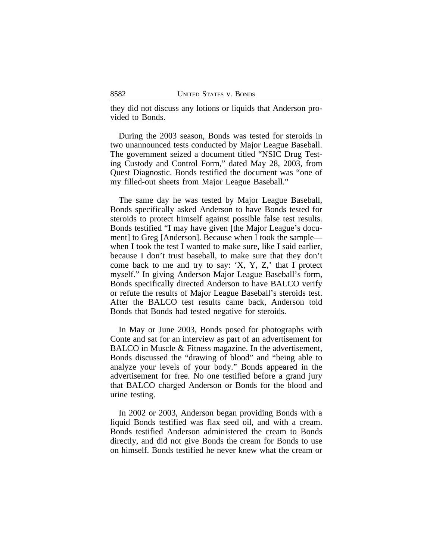they did not discuss any lotions or liquids that Anderson provided to Bonds.

During the 2003 season, Bonds was tested for steroids in two unannounced tests conducted by Major League Baseball. The government seized a document titled "NSIC Drug Testing Custody and Control Form," dated May 28, 2003, from Quest Diagnostic. Bonds testified the document was "one of my filled-out sheets from Major League Baseball."

The same day he was tested by Major League Baseball, Bonds specifically asked Anderson to have Bonds tested for steroids to protect himself against possible false test results. Bonds testified "I may have given [the Major League's document] to Greg [Anderson]. Because when I took the sample when I took the test I wanted to make sure, like I said earlier, because I don't trust baseball, to make sure that they don't come back to me and try to say: 'X, Y, Z,' that I protect myself." In giving Anderson Major League Baseball's form, Bonds specifically directed Anderson to have BALCO verify or refute the results of Major League Baseball's steroids test. After the BALCO test results came back, Anderson told Bonds that Bonds had tested negative for steroids.

In May or June 2003, Bonds posed for photographs with Conte and sat for an interview as part of an advertisement for BALCO in Muscle & Fitness magazine. In the advertisement, Bonds discussed the "drawing of blood" and "being able to analyze your levels of your body." Bonds appeared in the advertisement for free. No one testified before a grand jury that BALCO charged Anderson or Bonds for the blood and urine testing.

In 2002 or 2003, Anderson began providing Bonds with a liquid Bonds testified was flax seed oil, and with a cream. Bonds testified Anderson administered the cream to Bonds directly, and did not give Bonds the cream for Bonds to use on himself. Bonds testified he never knew what the cream or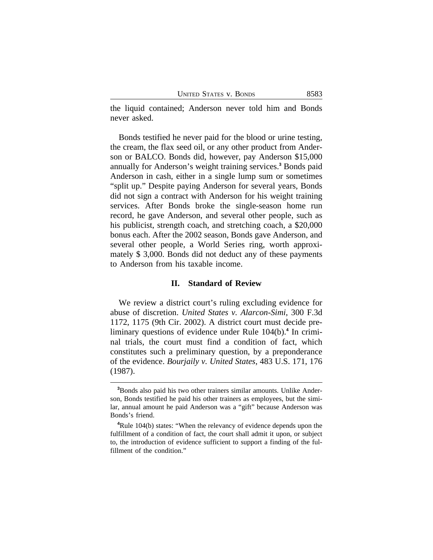the liquid contained; Anderson never told him and Bonds never asked.

Bonds testified he never paid for the blood or urine testing, the cream, the flax seed oil, or any other product from Anderson or BALCO. Bonds did, however, pay Anderson \$15,000 annually for Anderson's weight training services.**<sup>3</sup>** Bonds paid Anderson in cash, either in a single lump sum or sometimes "split up." Despite paying Anderson for several years, Bonds did not sign a contract with Anderson for his weight training services. After Bonds broke the single-season home run record, he gave Anderson, and several other people, such as his publicist, strength coach, and stretching coach, a \$20,000 bonus each. After the 2002 season, Bonds gave Anderson, and several other people, a World Series ring, worth approximately \$ 3,000. Bonds did not deduct any of these payments to Anderson from his taxable income.

### **II. Standard of Review**

We review a district court's ruling excluding evidence for abuse of discretion. *United States v. Alarcon-Simi*, 300 F.3d 1172, 1175 (9th Cir. 2002). A district court must decide preliminary questions of evidence under Rule 104(b).<sup>4</sup> In criminal trials, the court must find a condition of fact, which constitutes such a preliminary question, by a preponderance of the evidence. *Bourjaily v. United States*, 483 U.S. 171, 176 (1987).

**<sup>3</sup>**Bonds also paid his two other trainers similar amounts. Unlike Anderson, Bonds testified he paid his other trainers as employees, but the similar, annual amount he paid Anderson was a "gift" because Anderson was Bonds's friend.

**<sup>4</sup>**Rule 104(b) states: "When the relevancy of evidence depends upon the fulfillment of a condition of fact, the court shall admit it upon, or subject to, the introduction of evidence sufficient to support a finding of the fulfillment of the condition."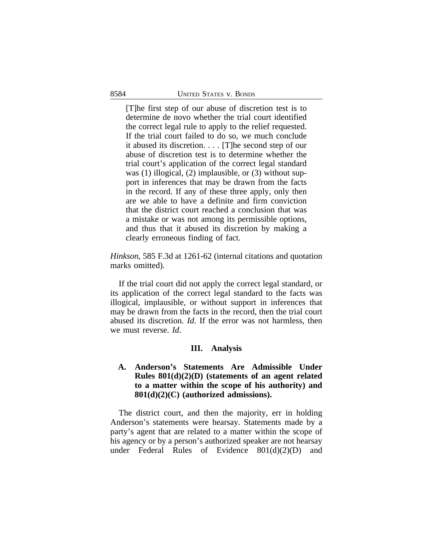[T]he first step of our abuse of discretion test is to determine de novo whether the trial court identified the correct legal rule to apply to the relief requested. If the trial court failed to do so, we much conclude it abused its discretion. . . . [T]he second step of our abuse of discretion test is to determine whether the trial court's application of the correct legal standard was (1) illogical, (2) implausible, or (3) without support in inferences that may be drawn from the facts in the record. If any of these three apply, only then are we able to have a definite and firm conviction that the district court reached a conclusion that was a mistake or was not among its permissible options, and thus that it abused its discretion by making a clearly erroneous finding of fact.

*Hinkson*, 585 F.3d at 1261-62 (internal citations and quotation marks omitted).

If the trial court did not apply the correct legal standard, or its application of the correct legal standard to the facts was illogical, implausible, or without support in inferences that may be drawn from the facts in the record, then the trial court abused its discretion. *Id.* If the error was not harmless, then we must reverse. *Id*.

### **III. Analysis**

## **A. Anderson's Statements Are Admissible Under Rules 801(d)(2)(D) (statements of an agent related to a matter within the scope of his authority) and 801(d)(2)(C) (authorized admissions).**

The district court, and then the majority, err in holding Anderson's statements were hearsay. Statements made by a party's agent that are related to a matter within the scope of his agency or by a person's authorized speaker are not hearsay under Federal Rules of Evidence 801(d)(2)(D) and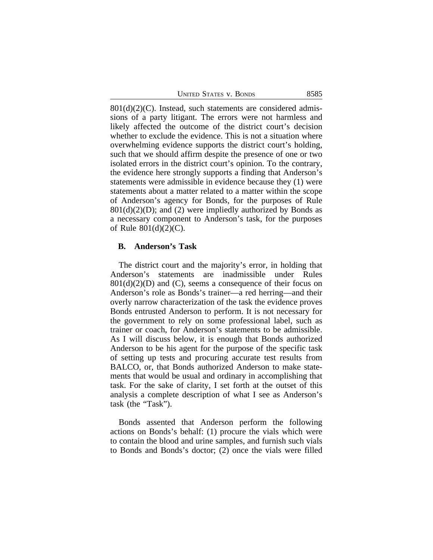| UNITED STATES V. BONDS | 8585 |
|------------------------|------|
|------------------------|------|

 $801(d)(2)(C)$ . Instead, such statements are considered admissions of a party litigant. The errors were not harmless and likely affected the outcome of the district court's decision whether to exclude the evidence. This is not a situation where overwhelming evidence supports the district court's holding, such that we should affirm despite the presence of one or two isolated errors in the district court's opinion. To the contrary, the evidence here strongly supports a finding that Anderson's statements were admissible in evidence because they (1) were statements about a matter related to a matter within the scope of Anderson's agency for Bonds, for the purposes of Rule  $801(d)(2)(D)$ ; and (2) were impliedly authorized by Bonds as a necessary component to Anderson's task, for the purposes of Rule  $801(d)(2)(C)$ .

#### **B. Anderson's Task**

The district court and the majority's error, in holding that Anderson's statements are inadmissible under Rules  $801(d)(2)(D)$  and (C), seems a consequence of their focus on Anderson's role as Bonds's trainer—a red herring—and their overly narrow characterization of the task the evidence proves Bonds entrusted Anderson to perform. It is not necessary for the government to rely on some professional label, such as trainer or coach, for Anderson's statements to be admissible. As I will discuss below, it is enough that Bonds authorized Anderson to be his agent for the purpose of the specific task of setting up tests and procuring accurate test results from BALCO, or, that Bonds authorized Anderson to make statements that would be usual and ordinary in accomplishing that task. For the sake of clarity, I set forth at the outset of this analysis a complete description of what I see as Anderson's task (the "Task").

Bonds assented that Anderson perform the following actions on Bonds's behalf: (1) procure the vials which were to contain the blood and urine samples, and furnish such vials to Bonds and Bonds's doctor; (2) once the vials were filled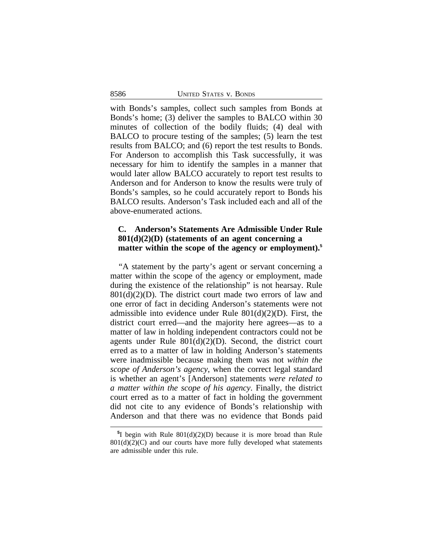with Bonds's samples, collect such samples from Bonds at Bonds's home; (3) deliver the samples to BALCO within 30 minutes of collection of the bodily fluids; (4) deal with BALCO to procure testing of the samples; (5) learn the test results from BALCO; and (6) report the test results to Bonds. For Anderson to accomplish this Task successfully, it was necessary for him to identify the samples in a manner that would later allow BALCO accurately to report test results to Anderson and for Anderson to know the results were truly of Bonds's samples, so he could accurately report to Bonds his BALCO results. Anderson's Task included each and all of the above-enumerated actions.

## **C. Anderson's Statements Are Admissible Under Rule 801(d)(2)(D) (statements of an agent concerning a matter within the scope of the agency or employment).<sup>5</sup>**

"A statement by the party's agent or servant concerning a matter within the scope of the agency or employment, made during the existence of the relationship" is not hearsay. Rule  $801(d)(2)(D)$ . The district court made two errors of law and one error of fact in deciding Anderson's statements were not admissible into evidence under Rule 801(d)(2)(D). First, the district court erred—and the majority here agrees—as to a matter of law in holding independent contractors could not be agents under Rule  $801(d)(2)(D)$ . Second, the district court erred as to a matter of law in holding Anderson's statements were inadmissible because making them was not *within the scope of Anderson's agency*, when the correct legal standard is whether an agent's [Anderson] statements *were related to a matter within the scope of his agency*. Finally, the district court erred as to a matter of fact in holding the government did not cite to any evidence of Bonds's relationship with Anderson and that there was no evidence that Bonds paid

**<sup>5</sup>** I begin with Rule 801(d)(2)(D) because it is more broad than Rule  $801(d)(2)(C)$  and our courts have more fully developed what statements are admissible under this rule.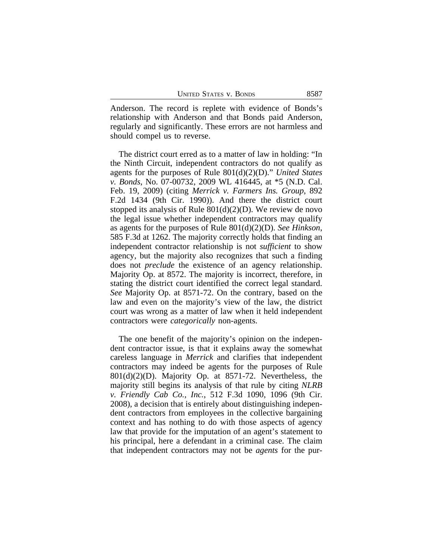Anderson. The record is replete with evidence of Bonds's relationship with Anderson and that Bonds paid Anderson, regularly and significantly. These errors are not harmless and should compel us to reverse.

The district court erred as to a matter of law in holding: "In the Ninth Circuit, independent contractors do not qualify as agents for the purposes of Rule 801(d)(2)(D)." *United States v. Bonds*, No. 07-00732, 2009 WL 416445, at \*5 (N.D. Cal. Feb. 19, 2009) (citing *Merrick v. Farmers Ins. Group*, 892 F.2d 1434 (9th Cir. 1990)). And there the district court stopped its analysis of Rule 801(d)(2)(D). We review de novo the legal issue whether independent contractors may qualify as agents for the purposes of Rule 801(d)(2)(D). *See Hinkson*, 585 F.3d at 1262. The majority correctly holds that finding an independent contractor relationship is not *sufficient* to show agency, but the majority also recognizes that such a finding does not *preclude* the existence of an agency relationship. Majority Op. at 8572. The majority is incorrect, therefore, in stating the district court identified the correct legal standard. *See* Majority Op. at 8571-72. On the contrary, based on the law and even on the majority's view of the law, the district court was wrong as a matter of law when it held independent contractors were *categorically* non-agents.

The one benefit of the majority's opinion on the independent contractor issue, is that it explains away the somewhat careless language in *Merrick* and clarifies that independent contractors may indeed be agents for the purposes of Rule  $801(d)(2)(D)$ . Majority Op. at 8571-72. Nevertheless, the majority still begins its analysis of that rule by citing *NLRB v. Friendly Cab Co., Inc.*, 512 F.3d 1090, 1096 (9th Cir. 2008), a decision that is entirely about distinguishing independent contractors from employees in the collective bargaining context and has nothing to do with those aspects of agency law that provide for the imputation of an agent's statement to his principal, here a defendant in a criminal case. The claim that independent contractors may not be *agents* for the pur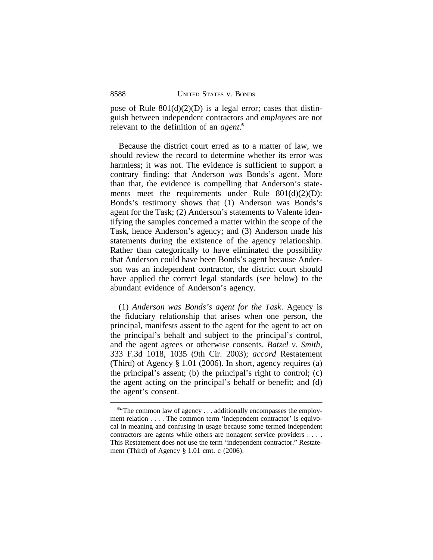pose of Rule  $801(d)(2)(D)$  is a legal error; cases that distinguish between independent contractors and *employees* are not relevant to the definition of an *agent*. **6**

Because the district court erred as to a matter of law, we should review the record to determine whether its error was harmless; it was not. The evidence is sufficient to support a contrary finding: that Anderson *was* Bonds's agent. More than that, the evidence is compelling that Anderson's statements meet the requirements under Rule  $801(d)(2)(D)$ : Bonds's testimony shows that (1) Anderson was Bonds's agent for the Task; (2) Anderson's statements to Valente identifying the samples concerned a matter within the scope of the Task, hence Anderson's agency; and (3) Anderson made his statements during the existence of the agency relationship. Rather than categorically to have eliminated the possibility that Anderson could have been Bonds's agent because Anderson was an independent contractor, the district court should have applied the correct legal standards (see below) to the abundant evidence of Anderson's agency.

(1) *Anderson was Bonds's agent for the Task*. Agency is the fiduciary relationship that arises when one person, the principal, manifests assent to the agent for the agent to act on the principal's behalf and subject to the principal's control, and the agent agrees or otherwise consents. *Batzel v. Smith*, 333 F.3d 1018, 1035 (9th Cir. 2003); *accord* Restatement (Third) of Agency § 1.01 (2006). In short, agency requires (a) the principal's assent; (b) the principal's right to control; (c) the agent acting on the principal's behalf or benefit; and (d) the agent's consent.

<sup>&</sup>lt;sup>6</sup><sup>*M*</sup> The common law of agency . . . additionally encompasses the employment relation . . . . The common term 'independent contractor' is equivocal in meaning and confusing in usage because some termed independent contractors are agents while others are nonagent service providers . . . . This Restatement does not use the term 'independent contractor." Restatement (Third) of Agency § 1.01 cmt. c (2006).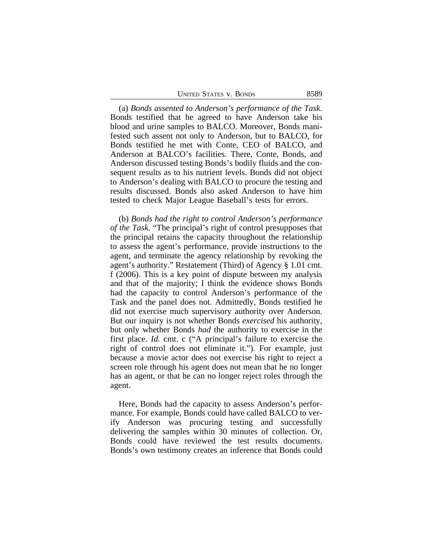| <b>UNITED STATES V. BONDS</b> |  |  |  | 8589 |
|-------------------------------|--|--|--|------|
|-------------------------------|--|--|--|------|

(a) *Bonds assented to Anderson's performance of the Task*. Bonds testified that he agreed to have Anderson take his blood and urine samples to BALCO. Moreover, Bonds manifested such assent not only to Anderson, but to BALCO, for Bonds testified he met with Conte, CEO of BALCO, and Anderson at BALCO's facilities. There, Conte, Bonds, and Anderson discussed testing Bonds's bodily fluids and the consequent results as to his nutrient levels. Bonds did not object to Anderson's dealing with BALCO to procure the testing and results discussed. Bonds also asked Anderson to have him tested to check Major League Baseball's tests for errors.

(b) *Bonds had the right to control Anderson's performance of the Task*. "The principal's right of control presupposes that the principal retains the capacity throughout the relationship to assess the agent's performance, provide instructions to the agent, and terminate the agency relationship by revoking the agent's authority." Restatement (Third) of Agency § 1.01 cmt. f (2006). This is a key point of dispute between my analysis and that of the majority; I think the evidence shows Bonds had the capacity to control Anderson's performance of the Task and the panel does not. Admittedly, Bonds testified he did not exercise much supervisory authority over Anderson. But our inquiry is not whether Bonds *exercised* his authority, but only whether Bonds *had* the authority to exercise in the first place. *Id.* cmt. c ("A principal's failure to exercise the right of control does not eliminate it."). For example, just because a movie actor does not exercise his right to reject a screen role through his agent does not mean that he no longer has an agent, or that he can no longer reject roles through the agent.

Here, Bonds had the capacity to assess Anderson's performance. For example, Bonds could have called BALCO to verify Anderson was procuring testing and successfully delivering the samples within 30 minutes of collection. Or, Bonds could have reviewed the test results documents. Bonds's own testimony creates an inference that Bonds could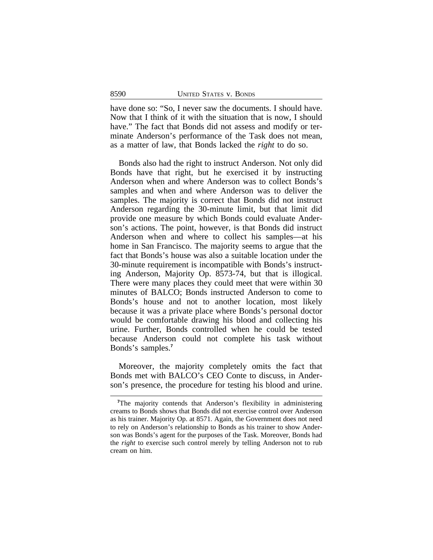have done so: "So, I never saw the documents. I should have. Now that I think of it with the situation that is now, I should have." The fact that Bonds did not assess and modify or terminate Anderson's performance of the Task does not mean, as a matter of law, that Bonds lacked the *right* to do so.

Bonds also had the right to instruct Anderson. Not only did Bonds have that right, but he exercised it by instructing Anderson when and where Anderson was to collect Bonds's samples and when and where Anderson was to deliver the samples. The majority is correct that Bonds did not instruct Anderson regarding the 30-minute limit, but that limit did provide one measure by which Bonds could evaluate Anderson's actions. The point, however, is that Bonds did instruct Anderson when and where to collect his samples—at his home in San Francisco. The majority seems to argue that the fact that Bonds's house was also a suitable location under the 30-minute requirement is incompatible with Bonds's instructing Anderson, Majority Op. 8573-74, but that is illogical. There were many places they could meet that were within 30 minutes of BALCO; Bonds instructed Anderson to come to Bonds's house and not to another location, most likely because it was a private place where Bonds's personal doctor would be comfortable drawing his blood and collecting his urine. Further, Bonds controlled when he could be tested because Anderson could not complete his task without Bonds's samples.**<sup>7</sup>**

Moreover, the majority completely omits the fact that Bonds met with BALCO's CEO Conte to discuss, in Anderson's presence, the procedure for testing his blood and urine.

<sup>&</sup>lt;sup>7</sup>The majority contends that Anderson's flexibility in administering creams to Bonds shows that Bonds did not exercise control over Anderson as his trainer. Majority Op. at 8571. Again, the Government does not need to rely on Anderson's relationship to Bonds as his trainer to show Anderson was Bonds's agent for the purposes of the Task. Moreover, Bonds had the *right* to exercise such control merely by telling Anderson not to rub cream on him.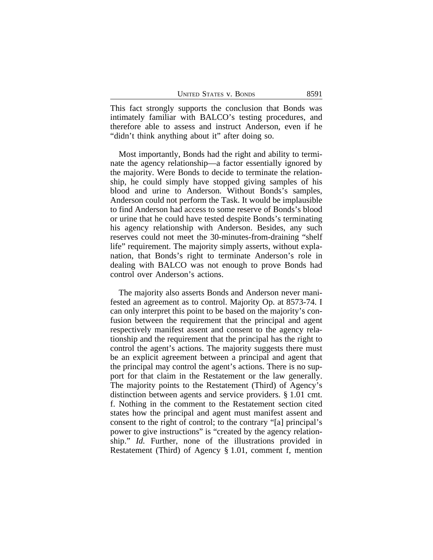This fact strongly supports the conclusion that Bonds was intimately familiar with BALCO's testing procedures, and therefore able to assess and instruct Anderson, even if he "didn't think anything about it" after doing so.

Most importantly, Bonds had the right and ability to terminate the agency relationship—a factor essentially ignored by the majority. Were Bonds to decide to terminate the relationship, he could simply have stopped giving samples of his blood and urine to Anderson. Without Bonds's samples, Anderson could not perform the Task. It would be implausible to find Anderson had access to some reserve of Bonds's blood or urine that he could have tested despite Bonds's terminating his agency relationship with Anderson. Besides, any such reserves could not meet the 30-minutes-from-draining "shelf life" requirement. The majority simply asserts, without explanation, that Bonds's right to terminate Anderson's role in dealing with BALCO was not enough to prove Bonds had control over Anderson's actions.

The majority also asserts Bonds and Anderson never manifested an agreement as to control. Majority Op. at 8573-74. I can only interpret this point to be based on the majority's confusion between the requirement that the principal and agent respectively manifest assent and consent to the agency relationship and the requirement that the principal has the right to control the agent's actions. The majority suggests there must be an explicit agreement between a principal and agent that the principal may control the agent's actions. There is no support for that claim in the Restatement or the law generally. The majority points to the Restatement (Third) of Agency's distinction between agents and service providers. § 1.01 cmt. f. Nothing in the comment to the Restatement section cited states how the principal and agent must manifest assent and consent to the right of control; to the contrary "[a] principal's power to give instructions" is "created by the agency relationship." *Id.* Further, none of the illustrations provided in Restatement (Third) of Agency § 1.01, comment f, mention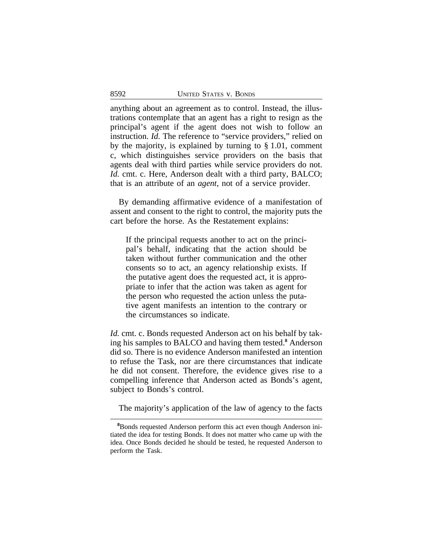anything about an agreement as to control. Instead, the illustrations contemplate that an agent has a right to resign as the principal's agent if the agent does not wish to follow an instruction. *Id.* The reference to "service providers," relied on by the majority, is explained by turning to § 1.01, comment c, which distinguishes service providers on the basis that agents deal with third parties while service providers do not. *Id.* cmt. c. Here, Anderson dealt with a third party, BALCO; that is an attribute of an *agent*, not of a service provider.

By demanding affirmative evidence of a manifestation of assent and consent to the right to control, the majority puts the cart before the horse. As the Restatement explains:

If the principal requests another to act on the principal's behalf, indicating that the action should be taken without further communication and the other consents so to act, an agency relationship exists. If the putative agent does the requested act, it is appropriate to infer that the action was taken as agent for the person who requested the action unless the putative agent manifests an intention to the contrary or the circumstances so indicate.

*Id.* cmt. c. Bonds requested Anderson act on his behalf by taking his samples to BALCO and having them tested.**<sup>8</sup>** Anderson did so. There is no evidence Anderson manifested an intention to refuse the Task, nor are there circumstances that indicate he did not consent. Therefore, the evidence gives rise to a compelling inference that Anderson acted as Bonds's agent, subject to Bonds's control.

The majority's application of the law of agency to the facts

**<sup>8</sup>**Bonds requested Anderson perform this act even though Anderson initiated the idea for testing Bonds. It does not matter who came up with the idea. Once Bonds decided he should be tested, he requested Anderson to perform the Task.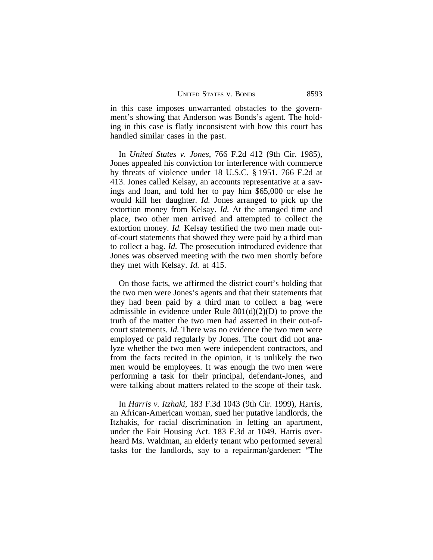in this case imposes unwarranted obstacles to the government's showing that Anderson was Bonds's agent. The holding in this case is flatly inconsistent with how this court has handled similar cases in the past.

In *United States v. Jones*, 766 F.2d 412 (9th Cir. 1985), Jones appealed his conviction for interference with commerce by threats of violence under 18 U.S.C. § 1951. 766 F.2d at 413. Jones called Kelsay, an accounts representative at a savings and loan, and told her to pay him \$65,000 or else he would kill her daughter. *Id.* Jones arranged to pick up the extortion money from Kelsay. *Id.* At the arranged time and place, two other men arrived and attempted to collect the extortion money. *Id.* Kelsay testified the two men made outof-court statements that showed they were paid by a third man to collect a bag. *Id.* The prosecution introduced evidence that Jones was observed meeting with the two men shortly before they met with Kelsay. *Id.* at 415.

On those facts, we affirmed the district court's holding that the two men were Jones's agents and that their statements that they had been paid by a third man to collect a bag were admissible in evidence under Rule 801(d)(2)(D) to prove the truth of the matter the two men had asserted in their out-ofcourt statements. *Id.* There was no evidence the two men were employed or paid regularly by Jones. The court did not analyze whether the two men were independent contractors, and from the facts recited in the opinion, it is unlikely the two men would be employees. It was enough the two men were performing a task for their principal, defendant-Jones, and were talking about matters related to the scope of their task.

In *Harris v. Itzhaki*, 183 F.3d 1043 (9th Cir. 1999), Harris, an African-American woman, sued her putative landlords, the Itzhakis, for racial discrimination in letting an apartment, under the Fair Housing Act. 183 F.3d at 1049. Harris overheard Ms. Waldman, an elderly tenant who performed several tasks for the landlords, say to a repairman/gardener: "The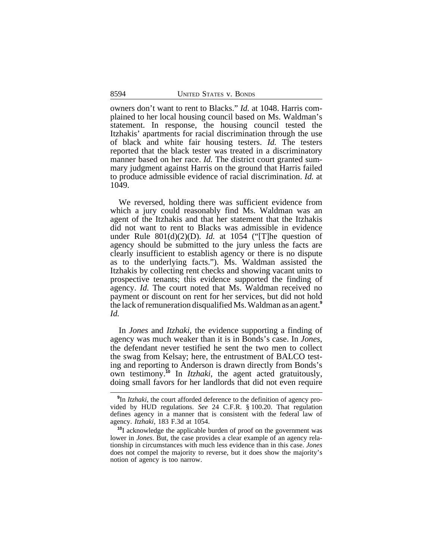owners don't want to rent to Blacks." *Id.* at 1048. Harris complained to her local housing council based on Ms. Waldman's statement. In response, the housing council tested the Itzhakis' apartments for racial discrimination through the use of black and white fair housing testers. *Id.* The testers reported that the black tester was treated in a discriminatory manner based on her race. *Id.* The district court granted summary judgment against Harris on the ground that Harris failed to produce admissible evidence of racial discrimination. *Id.* at 1049.

We reversed, holding there was sufficient evidence from which a jury could reasonably find Ms. Waldman was an agent of the Itzhakis and that her statement that the Itzhakis did not want to rent to Blacks was admissible in evidence under Rule 801(d)(2)(D). *Id.* at 1054 ("[T]he question of agency should be submitted to the jury unless the facts are clearly insufficient to establish agency or there is no dispute as to the underlying facts."). Ms. Waldman assisted the Itzhakis by collecting rent checks and showing vacant units to prospective tenants; this evidence supported the finding of agency. *Id.* The court noted that Ms. Waldman received no payment or discount on rent for her services, but did not hold the lack of remuneration disqualified Ms. Waldman as an agent.**<sup>9</sup>** *Id.*

In *Jones* and *Itzhaki*, the evidence supporting a finding of agency was much weaker than it is in Bonds's case. In *Jones*, the defendant never testified he sent the two men to collect the swag from Kelsay; here, the entrustment of BALCO testing and reporting to Anderson is drawn directly from Bonds's own testimony.**<sup>10</sup>** In *Itzhaki*, the agent acted gratuitously, doing small favors for her landlords that did not even require

**<sup>9</sup>** In *Itzhaki*, the court afforded deference to the definition of agency provided by HUD regulations. *See* 24 C.F.R. § 100.20. That regulation defines agency in a manner that is consistent with the federal law of agency. *Itzhaki*, 183 F.3d at 1054.

**<sup>10</sup>**I acknowledge the applicable burden of proof on the government was lower in *Jones*. But, the case provides a clear example of an agency relationship in circumstances with much less evidence than in this case. *Jones* does not compel the majority to reverse, but it does show the majority's notion of agency is too narrow.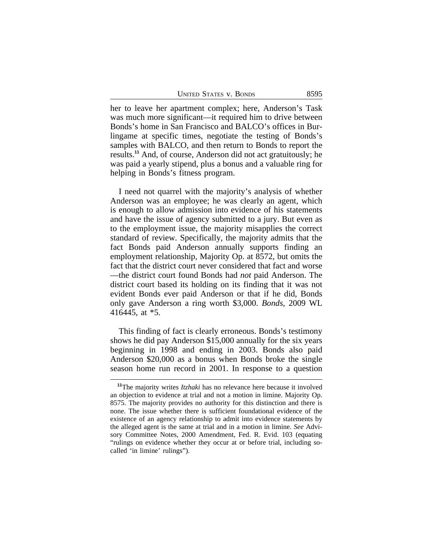| <b>UNITED STATES V. BONDS</b><br>8595 |  |
|---------------------------------------|--|
|---------------------------------------|--|

her to leave her apartment complex; here, Anderson's Task was much more significant—it required him to drive between Bonds's home in San Francisco and BALCO's offices in Burlingame at specific times, negotiate the testing of Bonds's samples with BALCO, and then return to Bonds to report the results.**<sup>11</sup>** And, of course, Anderson did not act gratuitously; he was paid a yearly stipend, plus a bonus and a valuable ring for helping in Bonds's fitness program.

I need not quarrel with the majority's analysis of whether Anderson was an employee; he was clearly an agent, which is enough to allow admission into evidence of his statements and have the issue of agency submitted to a jury. But even as to the employment issue, the majority misapplies the correct standard of review. Specifically, the majority admits that the fact Bonds paid Anderson annually supports finding an employment relationship, Majority Op. at 8572, but omits the fact that the district court never considered that fact and worse —the district court found Bonds had *not* paid Anderson. The district court based its holding on its finding that it was not evident Bonds ever paid Anderson or that if he did, Bonds only gave Anderson a ring worth \$3,000. *Bonds*, 2009 WL 416445, at \*5.

This finding of fact is clearly erroneous. Bonds's testimony shows he did pay Anderson \$15,000 annually for the six years beginning in 1998 and ending in 2003. Bonds also paid Anderson \$20,000 as a bonus when Bonds broke the single season home run record in 2001. In response to a question

**<sup>11</sup>**The majority writes *Itzhaki* has no relevance here because it involved an objection to evidence at trial and not a motion in limine. Majority Op. 8575. The majority provides no authority for this distinction and there is none. The issue whether there is sufficient foundational evidence of the existence of an agency relationship to admit into evidence statements by the alleged agent is the same at trial and in a motion in limine. *See* Advisory Committee Notes, 2000 Amendment, Fed. R. Evid. 103 (equating "rulings on evidence whether they occur at or before trial, including socalled 'in limine' rulings").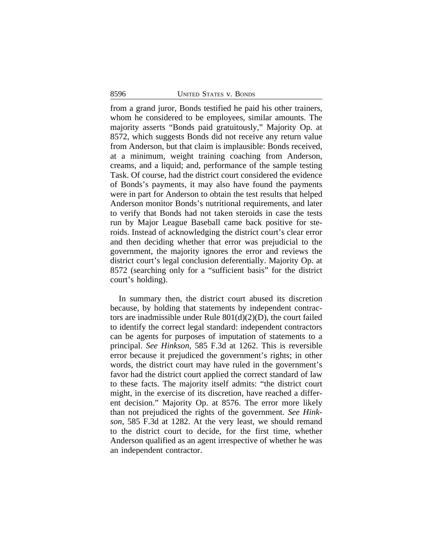from a grand juror, Bonds testified he paid his other trainers, whom he considered to be employees, similar amounts. The majority asserts "Bonds paid gratuitously," Majority Op. at 8572, which suggests Bonds did not receive any return value from Anderson, but that claim is implausible: Bonds received, at a minimum, weight training coaching from Anderson, creams, and a liquid; and, performance of the sample testing Task. Of course, had the district court considered the evidence of Bonds's payments, it may also have found the payments were in part for Anderson to obtain the test results that helped Anderson monitor Bonds's nutritional requirements, and later to verify that Bonds had not taken steroids in case the tests run by Major League Baseball came back positive for steroids. Instead of acknowledging the district court's clear error and then deciding whether that error was prejudicial to the government, the majority ignores the error and reviews the district court's legal conclusion deferentially. Majority Op. at 8572 (searching only for a "sufficient basis" for the district court's holding).

In summary then, the district court abused its discretion because, by holding that statements by independent contractors are inadmissible under Rule 801(d)(2)(D), the court failed to identify the correct legal standard: independent contractors can be agents for purposes of imputation of statements to a principal. *See Hinkson*, 585 F.3d at 1262. This is reversible error because it prejudiced the government's rights; in other words, the district court may have ruled in the government's favor had the district court applied the correct standard of law to these facts. The majority itself admits: "the district court might, in the exercise of its discretion, have reached a different decision." Majority Op. at 8576. The error more likely than not prejudiced the rights of the government. *See Hinkson*, 585 F.3d at 1282. At the very least, we should remand to the district court to decide, for the first time, whether Anderson qualified as an agent irrespective of whether he was an independent contractor.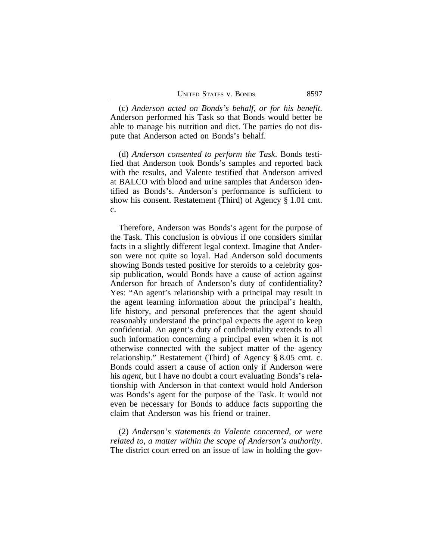(c) *Anderson acted on Bonds's behalf, or for his benefit*. Anderson performed his Task so that Bonds would better be able to manage his nutrition and diet. The parties do not dispute that Anderson acted on Bonds's behalf.

(d) *Anderson consented to perform the Task*. Bonds testified that Anderson took Bonds's samples and reported back with the results, and Valente testified that Anderson arrived at BALCO with blood and urine samples that Anderson identified as Bonds's. Anderson's performance is sufficient to show his consent. Restatement (Third) of Agency § 1.01 cmt. c.

Therefore, Anderson was Bonds's agent for the purpose of the Task. This conclusion is obvious if one considers similar facts in a slightly different legal context. Imagine that Anderson were not quite so loyal. Had Anderson sold documents showing Bonds tested positive for steroids to a celebrity gossip publication, would Bonds have a cause of action against Anderson for breach of Anderson's duty of confidentiality? Yes: "An agent's relationship with a principal may result in the agent learning information about the principal's health, life history, and personal preferences that the agent should reasonably understand the principal expects the agent to keep confidential. An agent's duty of confidentiality extends to all such information concerning a principal even when it is not otherwise connected with the subject matter of the agency relationship." Restatement (Third) of Agency § 8.05 cmt. c. Bonds could assert a cause of action only if Anderson were his *agent*, but I have no doubt a court evaluating Bonds's relationship with Anderson in that context would hold Anderson was Bonds's agent for the purpose of the Task. It would not even be necessary for Bonds to adduce facts supporting the claim that Anderson was his friend or trainer.

(2) *Anderson's statements to Valente concerned, or were related to, a matter within the scope of Anderson's authority*. The district court erred on an issue of law in holding the gov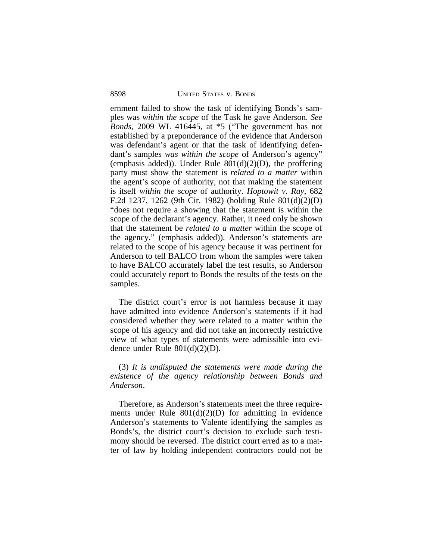ernment failed to show the task of identifying Bonds's samples was *within the scope* of the Task he gave Anderson. *See Bonds*, 2009 WL 416445, at \*5 ("The government has not established by a preponderance of the evidence that Anderson was defendant's agent or that the task of identifying defendant's samples *was within the scope* of Anderson's agency" (emphasis added)). Under Rule  $801(d)(2)(D)$ , the proffering party must show the statement is *related to a matter* within the agent's scope of authority, not that making the statement is itself *within the scope* of authority. *Hoptowit v. Ray*, 682 F.2d 1237, 1262 (9th Cir. 1982) (holding Rule 801(d)(2)(D) "does not require a showing that the statement is within the scope of the declarant's agency. Rather, it need only be shown that the statement be *related to a matter* within the scope of the agency." (emphasis added)). Anderson's statements are related to the scope of his agency because it was pertinent for Anderson to tell BALCO from whom the samples were taken to have BALCO accurately label the test results, so Anderson could accurately report to Bonds the results of the tests on the samples.

The district court's error is not harmless because it may have admitted into evidence Anderson's statements if it had considered whether they were related to a matter within the scope of his agency and did not take an incorrectly restrictive view of what types of statements were admissible into evidence under Rule 801(d)(2)(D).

(3) *It is undisputed the statements were made during the existence of the agency relationship between Bonds and Anderson*.

Therefore, as Anderson's statements meet the three requirements under Rule  $801(d)(2)(D)$  for admitting in evidence Anderson's statements to Valente identifying the samples as Bonds's, the district court's decision to exclude such testimony should be reversed. The district court erred as to a matter of law by holding independent contractors could not be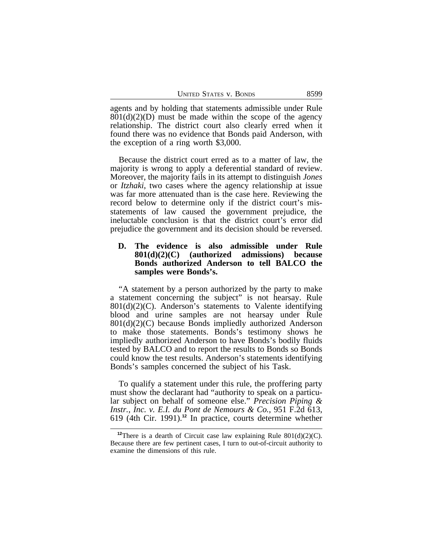agents and by holding that statements admissible under Rule  $801(d)(2)(D)$  must be made within the scope of the agency relationship. The district court also clearly erred when it found there was no evidence that Bonds paid Anderson, with the exception of a ring worth \$3,000.

Because the district court erred as to a matter of law, the majority is wrong to apply a deferential standard of review. Moreover, the majority fails in its attempt to distinguish *Jones* or *Itzhaki*, two cases where the agency relationship at issue was far more attenuated than is the case here. Reviewing the record below to determine only if the district court's misstatements of law caused the government prejudice, the ineluctable conclusion is that the district court's error did prejudice the government and its decision should be reversed.

### **D. The evidence is also admissible under Rule 801(d)(2)(C) (authorized admissions) because Bonds authorized Anderson to tell BALCO the samples were Bonds's.**

"A statement by a person authorized by the party to make a statement concerning the subject" is not hearsay. Rule  $801(d)(2)(C)$ . Anderson's statements to Valente identifying blood and urine samples are not hearsay under Rule 801(d)(2)(C) because Bonds impliedly authorized Anderson to make those statements. Bonds's testimony shows he impliedly authorized Anderson to have Bonds's bodily fluids tested by BALCO and to report the results to Bonds so Bonds could know the test results. Anderson's statements identifying Bonds's samples concerned the subject of his Task.

To qualify a statement under this rule, the proffering party must show the declarant had "authority to speak on a particular subject on behalf of someone else." *Precision Piping & Instr., Inc. v. E.I. du Pont de Nemours & Co.*, 951 F.2d 613, 619 (4th Cir. 1991).**<sup>12</sup>** In practice, courts determine whether

<sup>&</sup>lt;sup>12</sup>There is a dearth of Circuit case law explaining Rule  $801(d)(2)(C)$ . Because there are few pertinent cases, I turn to out-of-circuit authority to examine the dimensions of this rule.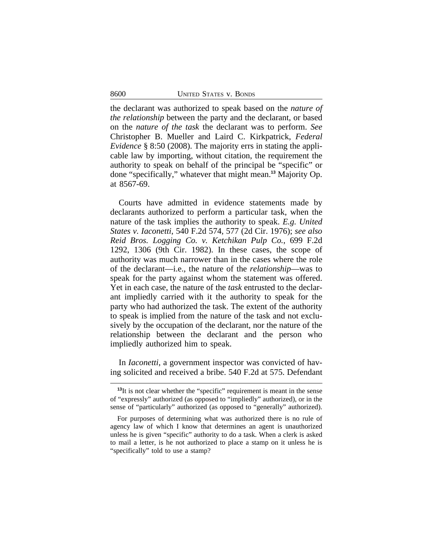the declarant was authorized to speak based on the *nature of the relationship* between the party and the declarant, or based on the *nature of the task* the declarant was to perform. *See* Christopher B. Mueller and Laird C. Kirkpatrick, *Federal Evidence* § 8:50 (2008). The majority errs in stating the applicable law by importing, without citation, the requirement the authority to speak on behalf of the principal be "specific" or done "specifically," whatever that might mean.**<sup>13</sup>** Majority Op. at 8567-69.

Courts have admitted in evidence statements made by declarants authorized to perform a particular task, when the nature of the task implies the authority to speak. *E.g. United States v. Iaconetti*, 540 F.2d 574, 577 (2d Cir. 1976); *see also Reid Bros. Logging Co. v. Ketchikan Pulp Co.*, 699 F.2d 1292, 1306 (9th Cir. 1982). In these cases, the scope of authority was much narrower than in the cases where the role of the declarant—i.e., the nature of the *relationship*—was to speak for the party against whom the statement was offered. Yet in each case, the nature of the *task* entrusted to the declarant impliedly carried with it the authority to speak for the party who had authorized the task. The extent of the authority to speak is implied from the nature of the task and not exclusively by the occupation of the declarant, nor the nature of the relationship between the declarant and the person who impliedly authorized him to speak.

In *Iaconetti*, a government inspector was convicted of having solicited and received a bribe. 540 F.2d at 575. Defendant

**<sup>13</sup>**It is not clear whether the "specific" requirement is meant in the sense of "expressly" authorized (as opposed to "impliedly" authorized), or in the sense of "particularly" authorized (as opposed to "generally" authorized).

For purposes of determining what was authorized there is no rule of agency law of which I know that determines an agent is unauthorized unless he is given "specific" authority to do a task. When a clerk is asked to mail a letter, is he not authorized to place a stamp on it unless he is "specifically" told to use a stamp?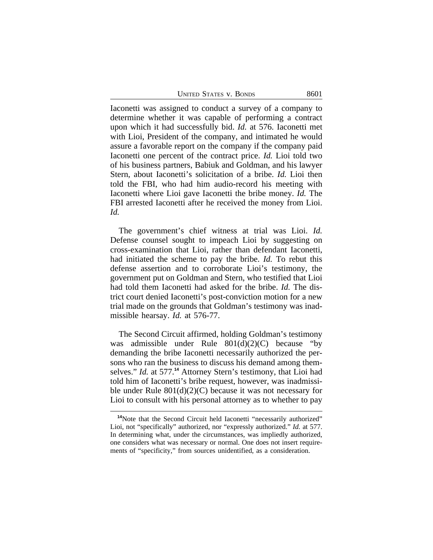| UNITED STATES V. BONDS |  | 8601 |
|------------------------|--|------|
|                        |  |      |

Iaconetti was assigned to conduct a survey of a company to determine whether it was capable of performing a contract upon which it had successfully bid. *Id.* at 576. Iaconetti met with Lioi, President of the company, and intimated he would assure a favorable report on the company if the company paid Iaconetti one percent of the contract price. *Id.* Lioi told two of his business partners, Babiuk and Goldman, and his lawyer Stern, about Iaconetti's solicitation of a bribe. *Id.* Lioi then told the FBI, who had him audio-record his meeting with Iaconetti where Lioi gave Iaconetti the bribe money. *Id.* The FBI arrested Iaconetti after he received the money from Lioi. *Id.*

The government's chief witness at trial was Lioi. *Id.* Defense counsel sought to impeach Lioi by suggesting on cross-examination that Lioi, rather than defendant Iaconetti, had initiated the scheme to pay the bribe. *Id.* To rebut this defense assertion and to corroborate Lioi's testimony, the government put on Goldman and Stern, who testified that Lioi had told them Iaconetti had asked for the bribe. *Id.* The district court denied Iaconetti's post-conviction motion for a new trial made on the grounds that Goldman's testimony was inadmissible hearsay. *Id.* at 576-77.

The Second Circuit affirmed, holding Goldman's testimony was admissible under Rule  $801(d)(2)(C)$  because "by demanding the bribe Iaconetti necessarily authorized the persons who ran the business to discuss his demand among themselves." *Id.* at 577.**<sup>14</sup>** Attorney Stern's testimony, that Lioi had told him of Iaconetti's bribe request, however, was inadmissible under Rule 801(d)(2)(C) because it was not necessary for Lioi to consult with his personal attorney as to whether to pay

<sup>&</sup>lt;sup>14</sup>Note that the Second Circuit held Iaconetti "necessarily authorized" Lioi, not "specifically" authorized, nor "expressly authorized." *Id.* at 577. In determining what, under the circumstances, was impliedly authorized, one considers what was necessary or normal. One does not insert requirements of "specificity," from sources unidentified, as a consideration.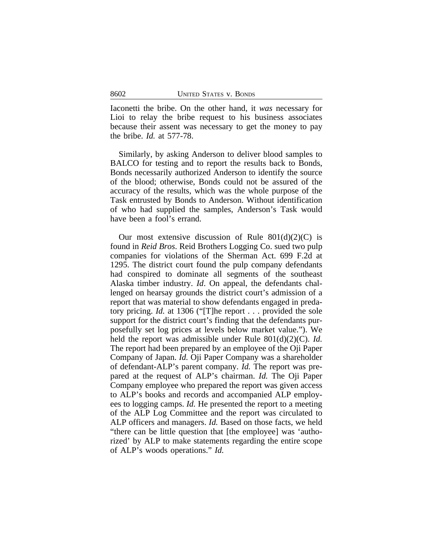Iaconetti the bribe. On the other hand, it *was* necessary for Lioi to relay the bribe request to his business associates because their assent was necessary to get the money to pay the bribe. *Id.* at 577-78.

Similarly, by asking Anderson to deliver blood samples to BALCO for testing and to report the results back to Bonds, Bonds necessarily authorized Anderson to identify the source of the blood; otherwise, Bonds could not be assured of the accuracy of the results, which was the whole purpose of the Task entrusted by Bonds to Anderson. Without identification of who had supplied the samples, Anderson's Task would have been a fool's errand.

Our most extensive discussion of Rule  $801(d)(2)(C)$  is found in *Reid Bros*. Reid Brothers Logging Co. sued two pulp companies for violations of the Sherman Act. 699 F.2d at 1295. The district court found the pulp company defendants had conspired to dominate all segments of the southeast Alaska timber industry. *Id*. On appeal, the defendants challenged on hearsay grounds the district court's admission of a report that was material to show defendants engaged in predatory pricing. *Id.* at 1306 ("[T]he report . . . provided the sole support for the district court's finding that the defendants purposefully set log prices at levels below market value."). We held the report was admissible under Rule 801(d)(2)(C). *Id.* The report had been prepared by an employee of the Oji Paper Company of Japan. *Id.* Oji Paper Company was a shareholder of defendant-ALP's parent company. *Id.* The report was prepared at the request of ALP's chairman. *Id.* The Oji Paper Company employee who prepared the report was given access to ALP's books and records and accompanied ALP employees to logging camps. *Id.* He presented the report to a meeting of the ALP Log Committee and the report was circulated to ALP officers and managers. *Id.* Based on those facts, we held "there can be little question that [the employee] was 'authorized' by ALP to make statements regarding the entire scope of ALP's woods operations." *Id.*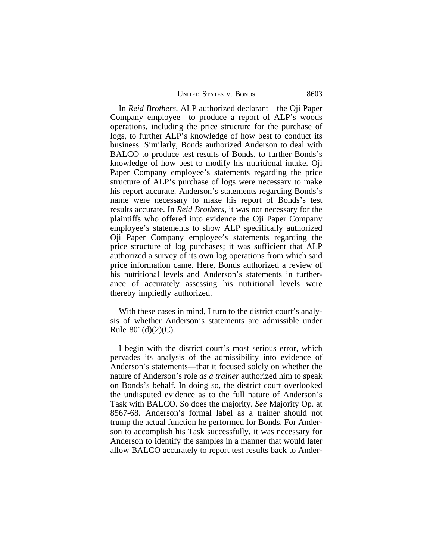| UNITED STATES V. BONDS |  | 8603 |
|------------------------|--|------|
|------------------------|--|------|

In *Reid Brothers*, ALP authorized declarant—the Oji Paper Company employee—to produce a report of ALP's woods operations, including the price structure for the purchase of logs, to further ALP's knowledge of how best to conduct its business. Similarly, Bonds authorized Anderson to deal with BALCO to produce test results of Bonds, to further Bonds's knowledge of how best to modify his nutritional intake. Oji Paper Company employee's statements regarding the price structure of ALP's purchase of logs were necessary to make his report accurate. Anderson's statements regarding Bonds's name were necessary to make his report of Bonds's test results accurate. In *Reid Brothers*, it was not necessary for the plaintiffs who offered into evidence the Oji Paper Company employee's statements to show ALP specifically authorized Oji Paper Company employee's statements regarding the price structure of log purchases; it was sufficient that ALP authorized a survey of its own log operations from which said price information came. Here, Bonds authorized a review of his nutritional levels and Anderson's statements in furtherance of accurately assessing his nutritional levels were thereby impliedly authorized.

With these cases in mind, I turn to the district court's analysis of whether Anderson's statements are admissible under Rule  $801(d)(2)(C)$ .

I begin with the district court's most serious error, which pervades its analysis of the admissibility into evidence of Anderson's statements—that it focused solely on whether the nature of Anderson's role *as a trainer* authorized him to speak on Bonds's behalf. In doing so, the district court overlooked the undisputed evidence as to the full nature of Anderson's Task with BALCO. So does the majority. *See* Majority Op. at 8567-68. Anderson's formal label as a trainer should not trump the actual function he performed for Bonds. For Anderson to accomplish his Task successfully, it was necessary for Anderson to identify the samples in a manner that would later allow BALCO accurately to report test results back to Ander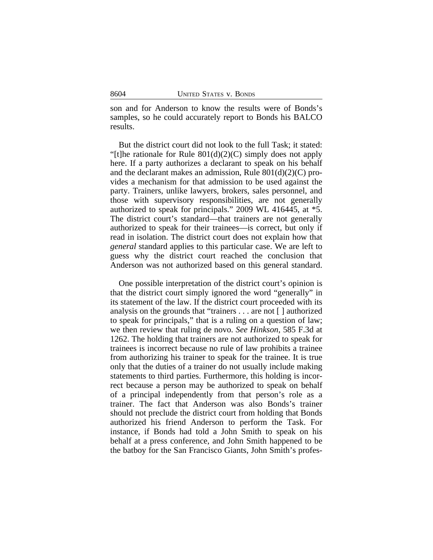son and for Anderson to know the results were of Bonds's samples, so he could accurately report to Bonds his BALCO results.

But the district court did not look to the full Task; it stated: "[t]he rationale for Rule  $801(d)(2)(C)$  simply does not apply here. If a party authorizes a declarant to speak on his behalf and the declarant makes an admission, Rule  $801(d)(2)(C)$  provides a mechanism for that admission to be used against the party. Trainers, unlike lawyers, brokers, sales personnel, and those with supervisory responsibilities, are not generally authorized to speak for principals." 2009 WL 416445, at \*5. The district court's standard—that trainers are not generally authorized to speak for their trainees—is correct, but only if read in isolation. The district court does not explain how that *general* standard applies to this particular case. We are left to guess why the district court reached the conclusion that Anderson was not authorized based on this general standard.

One possible interpretation of the district court's opinion is that the district court simply ignored the word "generally" in its statement of the law. If the district court proceeded with its analysis on the grounds that "trainers . . . are not [ ] authorized to speak for principals," that is a ruling on a question of law; we then review that ruling de novo. *See Hinkson*, 585 F.3d at 1262. The holding that trainers are not authorized to speak for trainees is incorrect because no rule of law prohibits a trainee from authorizing his trainer to speak for the trainee. It is true only that the duties of a trainer do not usually include making statements to third parties. Furthermore, this holding is incorrect because a person may be authorized to speak on behalf of a principal independently from that person's role as a trainer. The fact that Anderson was also Bonds's trainer should not preclude the district court from holding that Bonds authorized his friend Anderson to perform the Task. For instance, if Bonds had told a John Smith to speak on his behalf at a press conference, and John Smith happened to be the batboy for the San Francisco Giants, John Smith's profes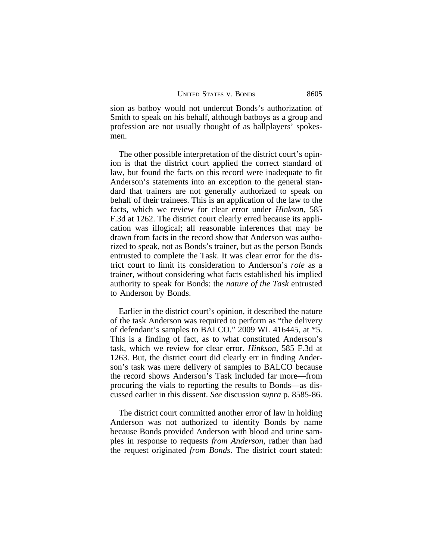sion as batboy would not undercut Bonds's authorization of Smith to speak on his behalf, although batboys as a group and profession are not usually thought of as ballplayers' spokesmen.

The other possible interpretation of the district court's opinion is that the district court applied the correct standard of law, but found the facts on this record were inadequate to fit Anderson's statements into an exception to the general standard that trainers are not generally authorized to speak on behalf of their trainees. This is an application of the law to the facts, which we review for clear error under *Hinkson*, 585 F.3d at 1262. The district court clearly erred because its application was illogical; all reasonable inferences that may be drawn from facts in the record show that Anderson was authorized to speak, not as Bonds's trainer, but as the person Bonds entrusted to complete the Task. It was clear error for the district court to limit its consideration to Anderson's *role* as a trainer, without considering what facts established his implied authority to speak for Bonds: the *nature of the Task* entrusted to Anderson by Bonds.

Earlier in the district court's opinion, it described the nature of the task Anderson was required to perform as "the delivery of defendant's samples to BALCO." 2009 WL 416445, at \*5. This is a finding of fact, as to what constituted Anderson's task, which we review for clear error. *Hinkson*, 585 F.3d at 1263. But, the district court did clearly err in finding Anderson's task was mere delivery of samples to BALCO because the record shows Anderson's Task included far more—from procuring the vials to reporting the results to Bonds—as discussed earlier in this dissent. *See* discussion *supra* p. 8585-86.

The district court committed another error of law in holding Anderson was not authorized to identify Bonds by name because Bonds provided Anderson with blood and urine samples in response to requests *from Anderson*, rather than had the request originated *from Bonds*. The district court stated: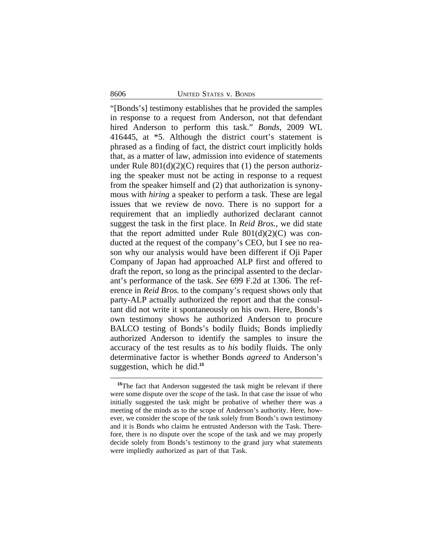#### 8606 UNITED STATES v. BONDS

"[Bonds's] testimony establishes that he provided the samples in response to a request from Anderson, not that defendant hired Anderson to perform this task." *Bonds*, 2009 WL 416445, at \*5. Although the district court's statement is phrased as a finding of fact, the district court implicitly holds that, as a matter of law, admission into evidence of statements under Rule  $801(d)(2)(C)$  requires that (1) the person authorizing the speaker must not be acting in response to a request from the speaker himself and (2) that authorization is synonymous with *hiring* a speaker to perform a task. These are legal issues that we review de novo. There is no support for a requirement that an impliedly authorized declarant cannot suggest the task in the first place. In *Reid Bros.*, we did state that the report admitted under Rule  $801(d)(2)(C)$  was conducted at the request of the company's CEO, but I see no reason why our analysis would have been different if Oji Paper Company of Japan had approached ALP first and offered to draft the report, so long as the principal assented to the declarant's performance of the task. *See* 699 F.2d at 1306. The reference in *Reid Bros.* to the company's request shows only that party-ALP actually authorized the report and that the consultant did not write it spontaneously on his own. Here, Bonds's own testimony shows he authorized Anderson to procure BALCO testing of Bonds's bodily fluids; Bonds impliedly authorized Anderson to identify the samples to insure the accuracy of the test results as to *his* bodily fluids. The only determinative factor is whether Bonds *agreed* to Anderson's suggestion, which he did.**<sup>15</sup>**

<sup>&</sup>lt;sup>15</sup>The fact that Anderson suggested the task might be relevant if there were some dispute over the *scope* of the task. In that case the issue of who initially suggested the task might be probative of whether there was a meeting of the minds as to the scope of Anderson's authority. Here, however, we consider the scope of the task solely from Bonds's own testimony and it is Bonds who claims he entrusted Anderson with the Task. Therefore, there is no dispute over the scope of the task and we may properly decide solely from Bonds's testimony to the grand jury what statements were impliedly authorized as part of that Task.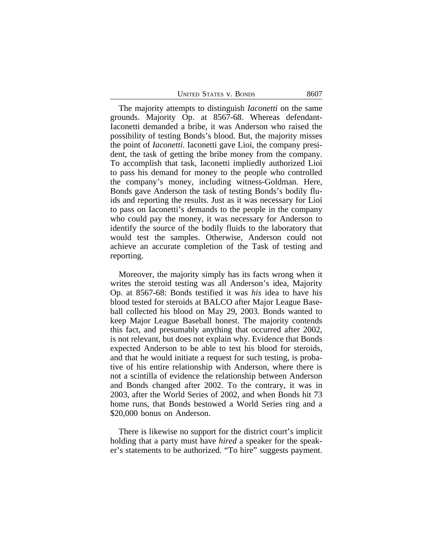| 8607<br>UNITED STATES V. BONDS |  |
|--------------------------------|--|
|--------------------------------|--|

The majority attempts to distinguish *Iaconetti* on the same grounds. Majority Op. at 8567-68. Whereas defendant-Iaconetti demanded a bribe, it was Anderson who raised the possibility of testing Bonds's blood. But, the majority misses the point of *Iaconetti*. Iaconetti gave Lioi, the company president, the task of getting the bribe money from the company. To accomplish that task, Iaconetti impliedly authorized Lioi to pass his demand for money to the people who controlled the company's money, including witness-Goldman. Here, Bonds gave Anderson the task of testing Bonds's bodily fluids and reporting the results. Just as it was necessary for Lioi to pass on Iaconetti's demands to the people in the company who could pay the money, it was necessary for Anderson to identify the source of the bodily fluids to the laboratory that would test the samples. Otherwise, Anderson could not achieve an accurate completion of the Task of testing and reporting.

Moreover, the majority simply has its facts wrong when it writes the steroid testing was all Anderson's idea, Majority Op. at 8567-68: Bonds testified it was *his* idea to have his blood tested for steroids at BALCO after Major League Baseball collected his blood on May 29, 2003. Bonds wanted to keep Major League Baseball honest. The majority contends this fact, and presumably anything that occurred after 2002, is not relevant, but does not explain why. Evidence that Bonds expected Anderson to be able to test his blood for steroids, and that he would initiate a request for such testing, is probative of his entire relationship with Anderson, where there is not a scintilla of evidence the relationship between Anderson and Bonds changed after 2002. To the contrary, it was in 2003, after the World Series of 2002, and when Bonds hit 73 home runs, that Bonds bestowed a World Series ring and a \$20,000 bonus on Anderson.

There is likewise no support for the district court's implicit holding that a party must have *hired* a speaker for the speaker's statements to be authorized. "To hire" suggests payment.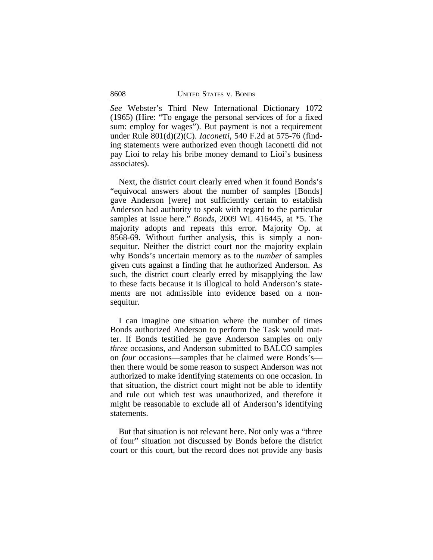*See* Webster's Third New International Dictionary 1072 (1965) (Hire: "To engage the personal services of for a fixed sum: employ for wages"). But payment is not a requirement under Rule 801(d)(2)(C). *Iaconetti*, 540 F.2d at 575-76 (finding statements were authorized even though Iaconetti did not pay Lioi to relay his bribe money demand to Lioi's business associates).

Next, the district court clearly erred when it found Bonds's "equivocal answers about the number of samples [Bonds] gave Anderson [were] not sufficiently certain to establish Anderson had authority to speak with regard to the particular samples at issue here." *Bonds*, 2009 WL 416445, at \*5. The majority adopts and repeats this error. Majority Op. at 8568-69. Without further analysis, this is simply a nonsequitur. Neither the district court nor the majority explain why Bonds's uncertain memory as to the *number* of samples given cuts against a finding that he authorized Anderson. As such, the district court clearly erred by misapplying the law to these facts because it is illogical to hold Anderson's statements are not admissible into evidence based on a nonsequitur.

I can imagine one situation where the number of times Bonds authorized Anderson to perform the Task would matter. If Bonds testified he gave Anderson samples on only *three* occasions, and Anderson submitted to BALCO samples on *four* occasions—samples that he claimed were Bonds's then there would be some reason to suspect Anderson was not authorized to make identifying statements on one occasion. In that situation, the district court might not be able to identify and rule out which test was unauthorized, and therefore it might be reasonable to exclude all of Anderson's identifying statements.

But that situation is not relevant here. Not only was a "three of four" situation not discussed by Bonds before the district court or this court, but the record does not provide any basis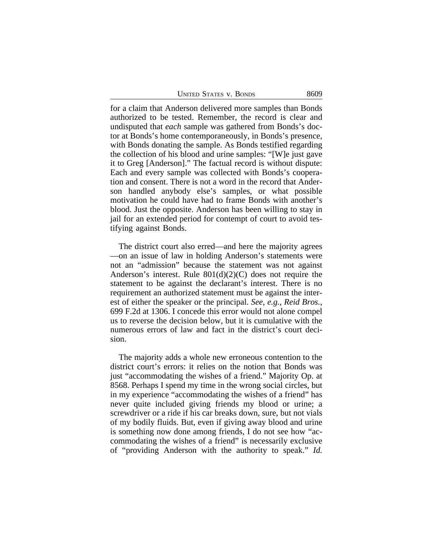| UNITED STATES V. BONDS | 8609 |
|------------------------|------|
|------------------------|------|

for a claim that Anderson delivered more samples than Bonds authorized to be tested. Remember, the record is clear and undisputed that *each* sample was gathered from Bonds's doctor at Bonds's home contemporaneously, in Bonds's presence, with Bonds donating the sample. As Bonds testified regarding the collection of his blood and urine samples: "[W]e just gave it to Greg [Anderson]." The factual record is without dispute: Each and every sample was collected with Bonds's cooperation and consent. There is not a word in the record that Anderson handled anybody else's samples, or what possible motivation he could have had to frame Bonds with another's blood. Just the opposite. Anderson has been willing to stay in jail for an extended period for contempt of court to avoid testifying against Bonds.

The district court also erred—and here the majority agrees —on an issue of law in holding Anderson's statements were not an "admission" because the statement was not against Anderson's interest. Rule  $801(d)(2)(C)$  does not require the statement to be against the declarant's interest. There is no requirement an authorized statement must be against the interest of either the speaker or the principal. *See, e.g.*, *Reid Bros.*, 699 F.2d at 1306. I concede this error would not alone compel us to reverse the decision below, but it is cumulative with the numerous errors of law and fact in the district's court decision.

The majority adds a whole new erroneous contention to the district court's errors: it relies on the notion that Bonds was just "accommodating the wishes of a friend." Majority Op. at 8568. Perhaps I spend my time in the wrong social circles, but in my experience "accommodating the wishes of a friend" has never quite included giving friends my blood or urine; a screwdriver or a ride if his car breaks down, sure, but not vials of my bodily fluids. But, even if giving away blood and urine is something now done among friends, I do not see how "accommodating the wishes of a friend" is necessarily exclusive of "providing Anderson with the authority to speak." *Id.*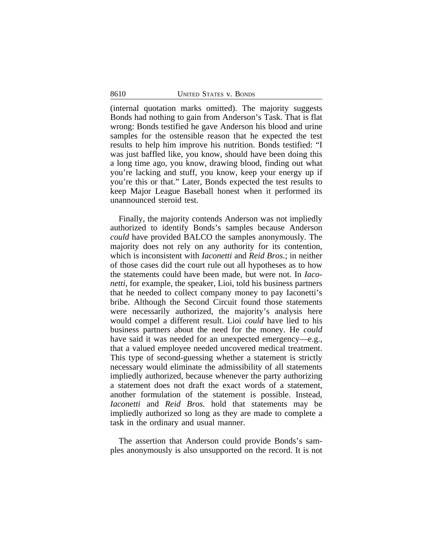(internal quotation marks omitted). The majority suggests Bonds had nothing to gain from Anderson's Task. That is flat wrong: Bonds testified he gave Anderson his blood and urine samples for the ostensible reason that he expected the test results to help him improve his nutrition. Bonds testified: "I was just baffled like, you know, should have been doing this a long time ago, you know, drawing blood, finding out what you're lacking and stuff, you know, keep your energy up if you're this or that." Later, Bonds expected the test results to keep Major League Baseball honest when it performed its unannounced steroid test.

Finally, the majority contends Anderson was not impliedly authorized to identify Bonds's samples because Anderson *could* have provided BALCO the samples anonymously. The majority does not rely on any authority for its contention, which is inconsistent with *Iaconetti* and *Reid Bros*.; in neither of those cases did the court rule out all hypotheses as to how the statements could have been made, but were not. In *Iaconetti*, for example, the speaker, Lioi, told his business partners that he needed to collect company money to pay Iaconetti's bribe. Although the Second Circuit found those statements were necessarily authorized, the majority's analysis here would compel a different result. Lioi *could* have lied to his business partners about the need for the money. He *could* have said it was needed for an unexpected emergency—e.g., that a valued employee needed uncovered medical treatment. This type of second-guessing whether a statement is strictly necessary would eliminate the admissibility of all statements impliedly authorized, because whenever the party authorizing a statement does not draft the exact words of a statement, another formulation of the statement is possible. Instead, *Iaconetti* and *Reid Bros.* hold that statements may be impliedly authorized so long as they are made to complete a task in the ordinary and usual manner.

The assertion that Anderson could provide Bonds's samples anonymously is also unsupported on the record. It is not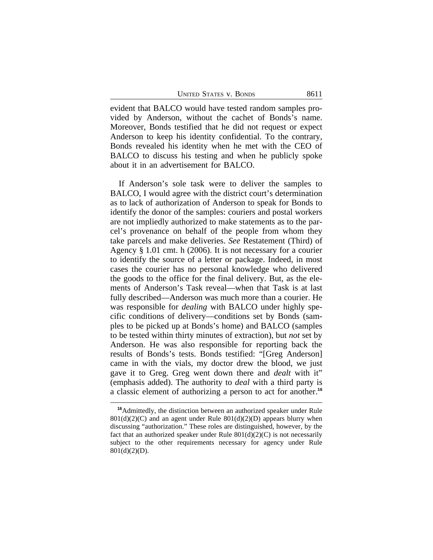UNITED STATES V. BONDS 8611

evident that BALCO would have tested random samples provided by Anderson, without the cachet of Bonds's name. Moreover, Bonds testified that he did not request or expect Anderson to keep his identity confidential. To the contrary, Bonds revealed his identity when he met with the CEO of BALCO to discuss his testing and when he publicly spoke about it in an advertisement for BALCO.

If Anderson's sole task were to deliver the samples to BALCO, I would agree with the district court's determination as to lack of authorization of Anderson to speak for Bonds to identify the donor of the samples: couriers and postal workers are not impliedly authorized to make statements as to the parcel's provenance on behalf of the people from whom they take parcels and make deliveries. *See* Restatement (Third) of Agency § 1.01 cmt. h (2006). It is not necessary for a courier to identify the source of a letter or package. Indeed, in most cases the courier has no personal knowledge who delivered the goods to the office for the final delivery. But, as the elements of Anderson's Task reveal—when that Task is at last fully described—Anderson was much more than a courier. He was responsible for *dealing* with BALCO under highly specific conditions of delivery—conditions set by Bonds (samples to be picked up at Bonds's home) and BALCO (samples to be tested within thirty minutes of extraction), but *not* set by Anderson. He was also responsible for reporting back the results of Bonds's tests. Bonds testified: "[Greg Anderson] came in with the vials, my doctor drew the blood, we just gave it to Greg. Greg went down there and *dealt* with it" (emphasis added). The authority to *deal* with a third party is a classic element of authorizing a person to act for another.**<sup>16</sup>**

**<sup>16</sup>**Admittedly, the distinction between an authorized speaker under Rule  $801(d)(2)(C)$  and an agent under Rule  $801(d)(2)(D)$  appears blurry when discussing "authorization." These roles are distinguished, however, by the fact that an authorized speaker under Rule  $801(d)(2)(C)$  is not necessarily subject to the other requirements necessary for agency under Rule 801(d)(2)(D).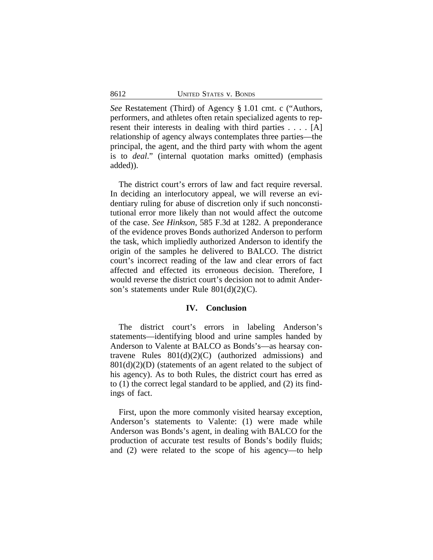*See* Restatement (Third) of Agency § 1.01 cmt. c ("Authors, performers, and athletes often retain specialized agents to represent their interests in dealing with third parties . . . . [A] relationship of agency always contemplates three parties—the principal, the agent, and the third party with whom the agent is to *deal*." (internal quotation marks omitted) (emphasis added)).

The district court's errors of law and fact require reversal. In deciding an interlocutory appeal, we will reverse an evidentiary ruling for abuse of discretion only if such nonconstitutional error more likely than not would affect the outcome of the case. *See Hinkson*, 585 F.3d at 1282. A preponderance of the evidence proves Bonds authorized Anderson to perform the task, which impliedly authorized Anderson to identify the origin of the samples he delivered to BALCO. The district court's incorrect reading of the law and clear errors of fact affected and effected its erroneous decision. Therefore, I would reverse the district court's decision not to admit Anderson's statements under Rule 801(d)(2)(C).

#### **IV. Conclusion**

The district court's errors in labeling Anderson's statements—identifying blood and urine samples handed by Anderson to Valente at BALCO as Bonds's—as hearsay contravene Rules  $801(d)(2)(C)$  (authorized admissions) and  $801(d)(2)(D)$  (statements of an agent related to the subject of his agency). As to both Rules, the district court has erred as to (1) the correct legal standard to be applied, and (2) its findings of fact.

First, upon the more commonly visited hearsay exception, Anderson's statements to Valente: (1) were made while Anderson was Bonds's agent, in dealing with BALCO for the production of accurate test results of Bonds's bodily fluids; and (2) were related to the scope of his agency—to help